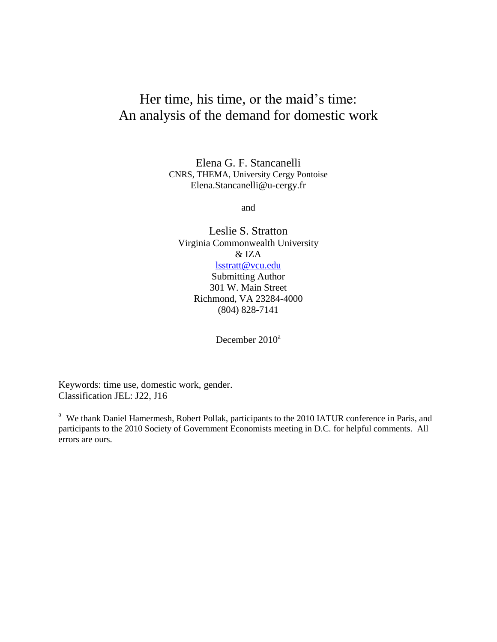## Her time, his time, or the maid's time: An analysis of the demand for domestic work

Elena G. F. Stancanelli CNRS, THEMA, University Cergy Pontoise Elena.Stancanelli@u-cergy.fr

and

Leslie S. Stratton Virginia Commonwealth University & IZA [lsstratt@vcu.edu](mailto:lsstratt@vcu.edu) Submitting Author

301 W. Main Street Richmond, VA 23284-4000 (804) 828-7141

December 2010<sup>a</sup>

Keywords: time use, domestic work, gender. Classification JEL: J22, J16

<sup>a</sup> We thank Daniel Hamermesh, Robert Pollak, participants to the 2010 IATUR conference in Paris, and participants to the 2010 Society of Government Economists meeting in D.C. for helpful comments. All errors are ours.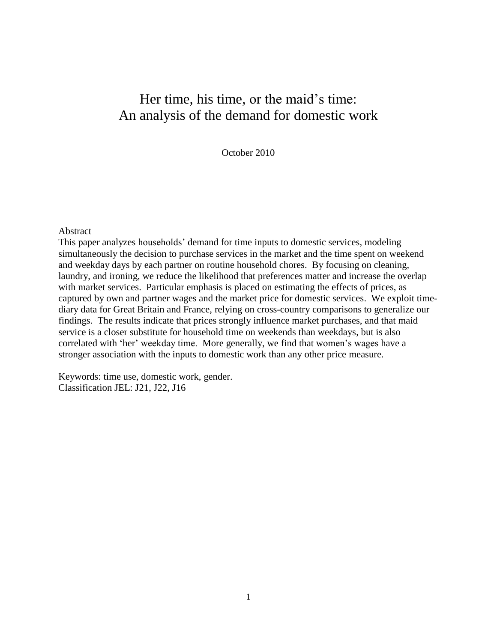## Her time, his time, or the maid's time: An analysis of the demand for domestic work

October 2010

#### Abstract

This paper analyzes households" demand for time inputs to domestic services, modeling simultaneously the decision to purchase services in the market and the time spent on weekend and weekday days by each partner on routine household chores. By focusing on cleaning, laundry, and ironing, we reduce the likelihood that preferences matter and increase the overlap with market services. Particular emphasis is placed on estimating the effects of prices, as captured by own and partner wages and the market price for domestic services. We exploit timediary data for Great Britain and France, relying on cross-country comparisons to generalize our findings. The results indicate that prices strongly influence market purchases, and that maid service is a closer substitute for household time on weekends than weekdays, but is also correlated with 'her' weekday time. More generally, we find that women's wages have a stronger association with the inputs to domestic work than any other price measure.

Keywords: time use, domestic work, gender. Classification JEL: J21, J22, J16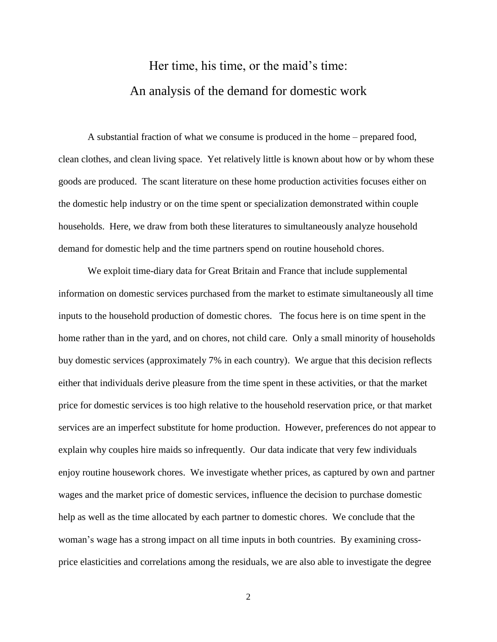# Her time, his time, or the maid"s time: An analysis of the demand for domestic work

A substantial fraction of what we consume is produced in the home – prepared food, clean clothes, and clean living space. Yet relatively little is known about how or by whom these goods are produced. The scant literature on these home production activities focuses either on the domestic help industry or on the time spent or specialization demonstrated within couple households. Here, we draw from both these literatures to simultaneously analyze household demand for domestic help and the time partners spend on routine household chores.

We exploit time-diary data for Great Britain and France that include supplemental information on domestic services purchased from the market to estimate simultaneously all time inputs to the household production of domestic chores. The focus here is on time spent in the home rather than in the yard, and on chores, not child care. Only a small minority of households buy domestic services (approximately 7% in each country). We argue that this decision reflects either that individuals derive pleasure from the time spent in these activities, or that the market price for domestic services is too high relative to the household reservation price, or that market services are an imperfect substitute for home production. However, preferences do not appear to explain why couples hire maids so infrequently. Our data indicate that very few individuals enjoy routine housework chores. We investigate whether prices, as captured by own and partner wages and the market price of domestic services, influence the decision to purchase domestic help as well as the time allocated by each partner to domestic chores. We conclude that the woman"s wage has a strong impact on all time inputs in both countries. By examining crossprice elasticities and correlations among the residuals, we are also able to investigate the degree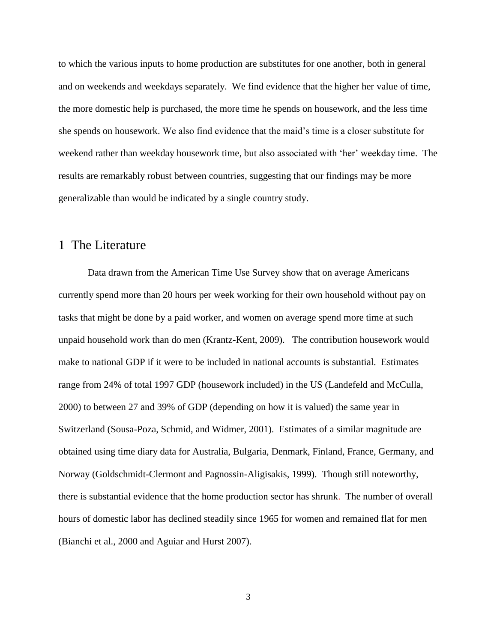to which the various inputs to home production are substitutes for one another, both in general and on weekends and weekdays separately. We find evidence that the higher her value of time, the more domestic help is purchased, the more time he spends on housework, and the less time she spends on housework. We also find evidence that the maid"s time is a closer substitute for weekend rather than weekday housework time, but also associated with "her" weekday time. The results are remarkably robust between countries, suggesting that our findings may be more generalizable than would be indicated by a single country study.

### 1 The Literature

Data drawn from the American Time Use Survey show that on average Americans currently spend more than 20 hours per week working for their own household without pay on tasks that might be done by a paid worker, and women on average spend more time at such unpaid household work than do men (Krantz-Kent, 2009). The contribution housework would make to national GDP if it were to be included in national accounts is substantial. Estimates range from 24% of total 1997 GDP (housework included) in the US (Landefeld and McCulla, 2000) to between 27 and 39% of GDP (depending on how it is valued) the same year in Switzerland (Sousa-Poza, Schmid, and Widmer, 2001). Estimates of a similar magnitude are obtained using time diary data for Australia, Bulgaria, Denmark, Finland, France, Germany, and Norway (Goldschmidt-Clermont and Pagnossin-Aligisakis, 1999). Though still noteworthy, there is substantial evidence that the home production sector has shrunk. The number of overall hours of domestic labor has declined steadily since 1965 for women and remained flat for men (Bianchi et al., 2000 and Aguiar and Hurst 2007).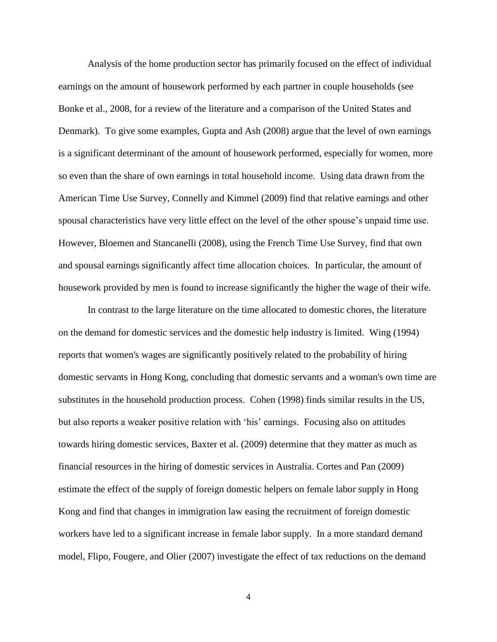Analysis of the home production sector has primarily focused on the effect of individual earnings on the amount of housework performed by each partner in couple households (see Bonke et al., 2008, for a review of the literature and a comparison of the United States and Denmark). To give some examples, Gupta and Ash (2008) argue that the level of own earnings is a significant determinant of the amount of housework performed, especially for women, more so even than the share of own earnings in total household income. Using data drawn from the American Time Use Survey, Connelly and Kimmel (2009) find that relative earnings and other spousal characteristics have very little effect on the level of the other spouse"s unpaid time use. However, Bloemen and Stancanelli (2008), using the French Time Use Survey, find that own and spousal earnings significantly affect time allocation choices. In particular, the amount of housework provided by men is found to increase significantly the higher the wage of their wife.

In contrast to the large literature on the time allocated to domestic chores, the literature on the demand for domestic services and the domestic help industry is limited. Wing (1994) reports that women's wages are significantly positively related to the probability of hiring domestic servants in Hong Kong, concluding that domestic servants and a woman's own time are substitutes in the household production process. Cohen (1998) finds similar results in the US, but also reports a weaker positive relation with "his" earnings. Focusing also on attitudes towards hiring domestic services, Baxter et al. (2009) determine that they matter as much as financial resources in the hiring of domestic services in Australia. Cortes and Pan (2009) estimate the effect of the supply of foreign domestic helpers on female labor supply in Hong Kong and find that changes in immigration law easing the recruitment of foreign domestic workers have led to a significant increase in female labor supply. In a more standard demand model, Flipo, Fougere, and Olier (2007) investigate the effect of tax reductions on the demand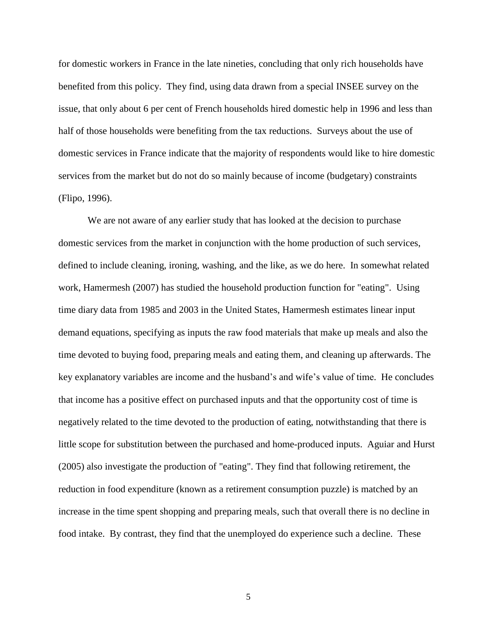for domestic workers in France in the late nineties, concluding that only rich households have benefited from this policy. They find, using data drawn from a special INSEE survey on the issue, that only about 6 per cent of French households hired domestic help in 1996 and less than half of those households were benefiting from the tax reductions. Surveys about the use of domestic services in France indicate that the majority of respondents would like to hire domestic services from the market but do not do so mainly because of income (budgetary) constraints (Flipo, 1996).

We are not aware of any earlier study that has looked at the decision to purchase domestic services from the market in conjunction with the home production of such services, defined to include cleaning, ironing, washing, and the like, as we do here. In somewhat related work, Hamermesh (2007) has studied the household production function for "eating". Using time diary data from 1985 and 2003 in the United States, Hamermesh estimates linear input demand equations, specifying as inputs the raw food materials that make up meals and also the time devoted to buying food, preparing meals and eating them, and cleaning up afterwards. The key explanatory variables are income and the husband"s and wife"s value of time. He concludes that income has a positive effect on purchased inputs and that the opportunity cost of time is negatively related to the time devoted to the production of eating, notwithstanding that there is little scope for substitution between the purchased and home-produced inputs. Aguiar and Hurst (2005) also investigate the production of "eating". They find that following retirement, the reduction in food expenditure (known as a retirement consumption puzzle) is matched by an increase in the time spent shopping and preparing meals, such that overall there is no decline in food intake. By contrast, they find that the unemployed do experience such a decline. These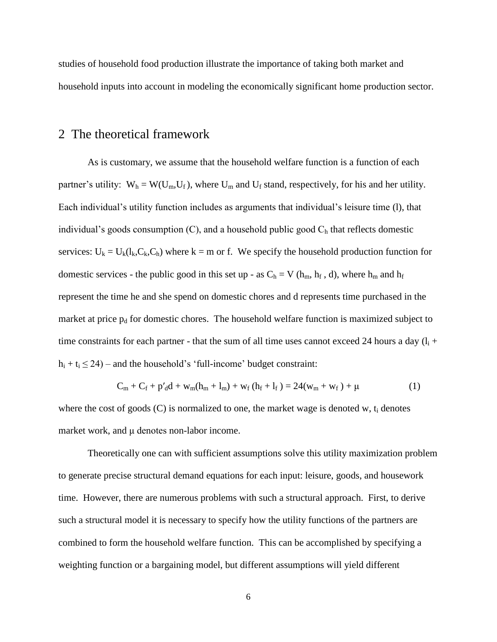studies of household food production illustrate the importance of taking both market and household inputs into account in modeling the economically significant home production sector.

### 2 The theoretical framework

As is customary, we assume that the household welfare function is a function of each partner's utility:  $W_h = W(U_m, U_f)$ , where  $U_m$  and  $U_f$  stand, respectively, for his and her utility. Each individual's utility function includes as arguments that individual's leisure time (1), that individual's goods consumption (C), and a household public good  $C<sub>h</sub>$  that reflects domestic services:  $U_k = U_k(l_k, C_k, C_h)$  where  $k = m$  or f. We specify the household production function for domestic services - the public good in this set up - as  $C_h = V(h_m, h_f, d)$ , where  $h_m$  and  $h_f$ represent the time he and she spend on domestic chores and d represents time purchased in the market at price  $p_d$  for domestic chores. The household welfare function is maximized subject to time constraints for each partner - that the sum of all time uses cannot exceed 24 hours a day  $(l_i +$  $h_i + t_i \leq 24$ ) – and the household's 'full-income' budget constraint:

$$
C_m + C_f + p'_d d + w_m (h_m + l_m) + w_f (h_f + l_f) = 24(w_m + w_f) + \mu
$$
 (1)

where the cost of goods  $(C)$  is normalized to one, the market wage is denoted w,  $t_i$  denotes market work, and μ denotes non-labor income.

Theoretically one can with sufficient assumptions solve this utility maximization problem to generate precise structural demand equations for each input: leisure, goods, and housework time. However, there are numerous problems with such a structural approach. First, to derive such a structural model it is necessary to specify how the utility functions of the partners are combined to form the household welfare function. This can be accomplished by specifying a weighting function or a bargaining model, but different assumptions will yield different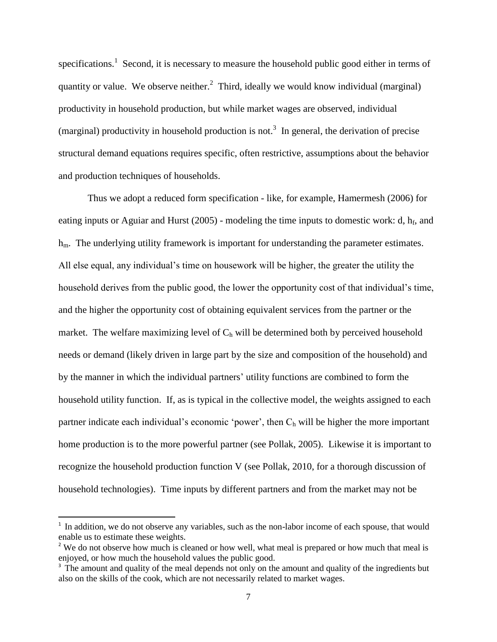specifications.<sup>1</sup> Second, it is necessary to measure the household public good either in terms of quantity or value. We observe neither.<sup>2</sup> Third, ideally we would know individual (marginal) productivity in household production, but while market wages are observed, individual (marginal) productivity in household production is not.<sup>3</sup> In general, the derivation of precise structural demand equations requires specific, often restrictive, assumptions about the behavior and production techniques of households.

Thus we adopt a reduced form specification - like, for example, Hamermesh (2006) for eating inputs or Aguiar and Hurst  $(2005)$  - modeling the time inputs to domestic work: d,  $h_f$ , and h<sub>m</sub>. The underlying utility framework is important for understanding the parameter estimates. All else equal, any individual"s time on housework will be higher, the greater the utility the household derives from the public good, the lower the opportunity cost of that individual's time, and the higher the opportunity cost of obtaining equivalent services from the partner or the market. The welfare maximizing level of  $C_h$  will be determined both by perceived household needs or demand (likely driven in large part by the size and composition of the household) and by the manner in which the individual partners' utility functions are combined to form the household utility function. If, as is typical in the collective model, the weights assigned to each partner indicate each individual's economic 'power', then  $C_h$  will be higher the more important home production is to the more powerful partner (see Pollak, 2005). Likewise it is important to recognize the household production function V (see Pollak, 2010, for a thorough discussion of household technologies). Time inputs by different partners and from the market may not be

 $\overline{\phantom{a}}$ 

<sup>&</sup>lt;sup>1</sup> In addition, we do not observe any variables, such as the non-labor income of each spouse, that would enable us to estimate these weights.

<sup>&</sup>lt;sup>2</sup> We do not observe how much is cleaned or how well, what meal is prepared or how much that meal is enjoyed, or how much the household values the public good.

<sup>&</sup>lt;sup>3</sup> The amount and quality of the meal depends not only on the amount and quality of the ingredients but also on the skills of the cook, which are not necessarily related to market wages.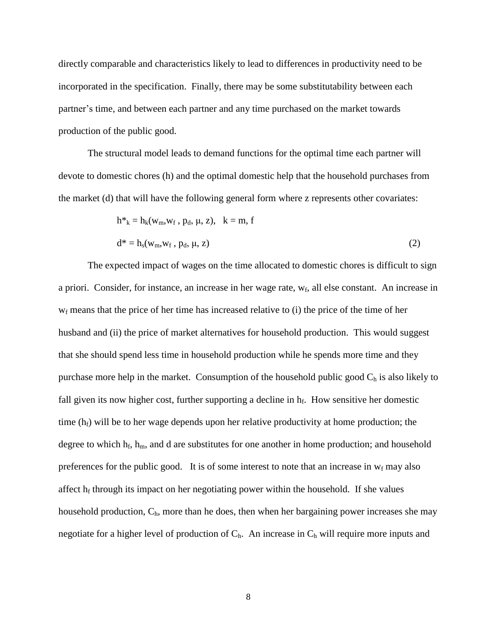directly comparable and characteristics likely to lead to differences in productivity need to be incorporated in the specification. Finally, there may be some substitutability between each partner"s time, and between each partner and any time purchased on the market towards production of the public good.

The structural model leads to demand functions for the optimal time each partner will devote to domestic chores (h) and the optimal domestic help that the household purchases from the market (d) that will have the following general form where z represents other covariates:

$$
h^*_{k} = h_{k}(w_{m}, w_{f}, p_{d}, \mu, z), \quad k = m, f
$$
  

$$
d^* = h_{s}(w_{m}, w_{f}, p_{d}, \mu, z)
$$
 (2)

The expected impact of wages on the time allocated to domestic chores is difficult to sign a priori. Consider, for instance, an increase in her wage rate, w<sub>f</sub>, all else constant. An increase in  $w_f$  means that the price of her time has increased relative to (i) the price of the time of her husband and (ii) the price of market alternatives for household production. This would suggest that she should spend less time in household production while he spends more time and they purchase more help in the market. Consumption of the household public good  $C_h$  is also likely to fall given its now higher cost, further supporting a decline in  $h_f$ . How sensitive her domestic time  $(h_f)$  will be to her wage depends upon her relative productivity at home production; the degree to which  $h_f$ ,  $h_m$ , and d are substitutes for one another in home production; and household preferences for the public good. It is of some interest to note that an increase in  $w_f$  may also affect  $h_f$  through its impact on her negotiating power within the household. If she values household production,  $C<sub>h</sub>$ , more than he does, then when her bargaining power increases she may negotiate for a higher level of production of  $C_h$ . An increase in  $C_h$  will require more inputs and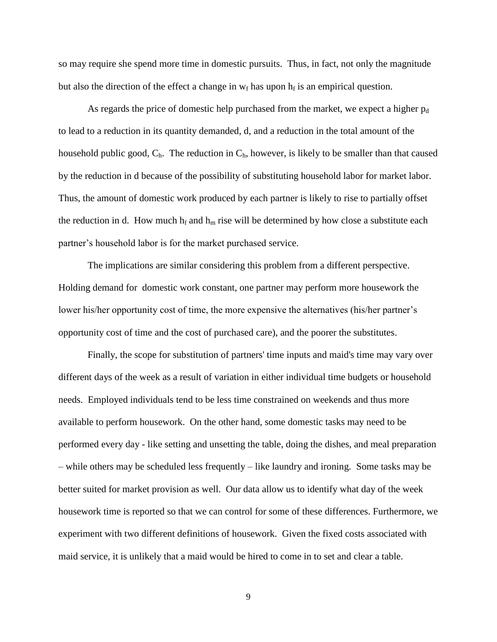so may require she spend more time in domestic pursuits. Thus, in fact, not only the magnitude but also the direction of the effect a change in  $w_f$  has upon  $h_f$  is an empirical question.

As regards the price of domestic help purchased from the market, we expect a higher  $p_d$ to lead to a reduction in its quantity demanded, d, and a reduction in the total amount of the household public good,  $C_h$ . The reduction in  $C_h$ , however, is likely to be smaller than that caused by the reduction in d because of the possibility of substituting household labor for market labor. Thus, the amount of domestic work produced by each partner is likely to rise to partially offset the reduction in d. How much  $h_f$  and  $h_m$  rise will be determined by how close a substitute each partner"s household labor is for the market purchased service.

The implications are similar considering this problem from a different perspective. Holding demand for domestic work constant, one partner may perform more housework the lower his/her opportunity cost of time, the more expensive the alternatives (his/her partner"s opportunity cost of time and the cost of purchased care), and the poorer the substitutes.

Finally, the scope for substitution of partners' time inputs and maid's time may vary over different days of the week as a result of variation in either individual time budgets or household needs. Employed individuals tend to be less time constrained on weekends and thus more available to perform housework. On the other hand, some domestic tasks may need to be performed every day - like setting and unsetting the table, doing the dishes, and meal preparation – while others may be scheduled less frequently – like laundry and ironing. Some tasks may be better suited for market provision as well. Our data allow us to identify what day of the week housework time is reported so that we can control for some of these differences. Furthermore, we experiment with two different definitions of housework. Given the fixed costs associated with maid service, it is unlikely that a maid would be hired to come in to set and clear a table.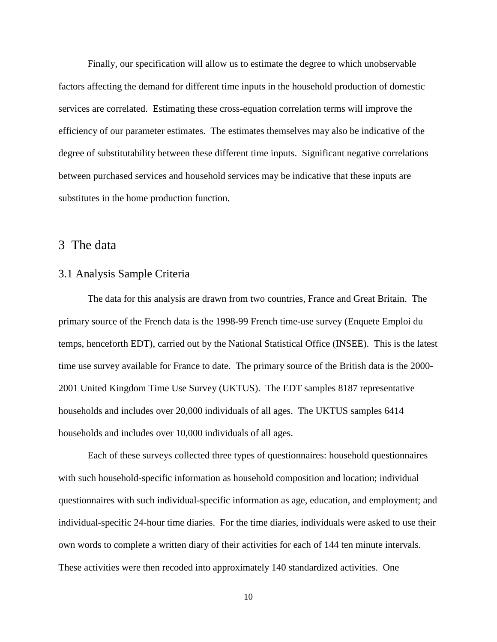Finally, our specification will allow us to estimate the degree to which unobservable factors affecting the demand for different time inputs in the household production of domestic services are correlated. Estimating these cross-equation correlation terms will improve the efficiency of our parameter estimates. The estimates themselves may also be indicative of the degree of substitutability between these different time inputs. Significant negative correlations between purchased services and household services may be indicative that these inputs are substitutes in the home production function.

### 3 The data

#### 3.1 Analysis Sample Criteria

The data for this analysis are drawn from two countries, France and Great Britain. The primary source of the French data is the 1998-99 French time-use survey (Enquete Emploi du temps, henceforth EDT), carried out by the National Statistical Office (INSEE). This is the latest time use survey available for France to date. The primary source of the British data is the 2000- 2001 United Kingdom Time Use Survey (UKTUS). The EDT samples 8187 representative households and includes over 20,000 individuals of all ages. The UKTUS samples 6414 households and includes over 10,000 individuals of all ages.

Each of these surveys collected three types of questionnaires: household questionnaires with such household-specific information as household composition and location; individual questionnaires with such individual-specific information as age, education, and employment; and individual-specific 24-hour time diaries. For the time diaries, individuals were asked to use their own words to complete a written diary of their activities for each of 144 ten minute intervals. These activities were then recoded into approximately 140 standardized activities. One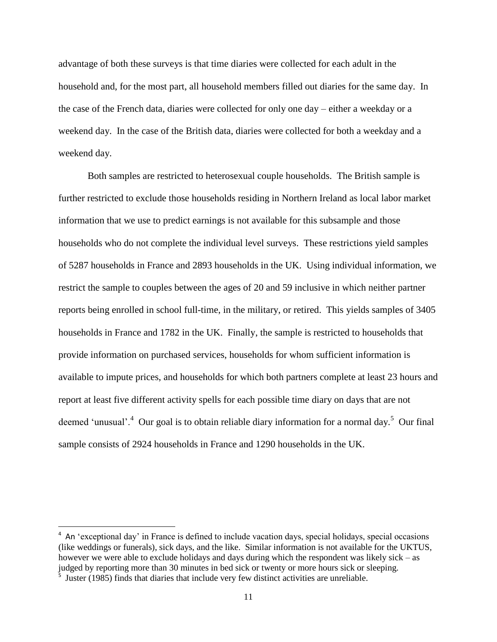advantage of both these surveys is that time diaries were collected for each adult in the household and, for the most part, all household members filled out diaries for the same day. In the case of the French data, diaries were collected for only one day – either a weekday or a weekend day. In the case of the British data, diaries were collected for both a weekday and a weekend day.

Both samples are restricted to heterosexual couple households. The British sample is further restricted to exclude those households residing in Northern Ireland as local labor market information that we use to predict earnings is not available for this subsample and those households who do not complete the individual level surveys. These restrictions yield samples of 5287 households in France and 2893 households in the UK. Using individual information, we restrict the sample to couples between the ages of 20 and 59 inclusive in which neither partner reports being enrolled in school full-time, in the military, or retired. This yields samples of 3405 households in France and 1782 in the UK. Finally, the sample is restricted to households that provide information on purchased services, households for whom sufficient information is available to impute prices, and households for which both partners complete at least 23 hours and report at least five different activity spells for each possible time diary on days that are not deemed 'unusual'.<sup>4</sup> Our goal is to obtain reliable diary information for a normal day.<sup>5</sup> Our final sample consists of 2924 households in France and 1290 households in the UK.

 $\overline{\phantom{a}}$ 

<sup>&</sup>lt;sup>4</sup> An 'exceptional day' in France is defined to include vacation days, special holidays, special occasions (like weddings or funerals), sick days, and the like. Similar information is not available for the UKTUS, however we were able to exclude holidays and days during which the respondent was likely sick – as judged by reporting more than 30 minutes in bed sick or twenty or more hours sick or sleeping.

<sup>&</sup>lt;sup>5</sup> Juster (1985) finds that diaries that include very few distinct activities are unreliable.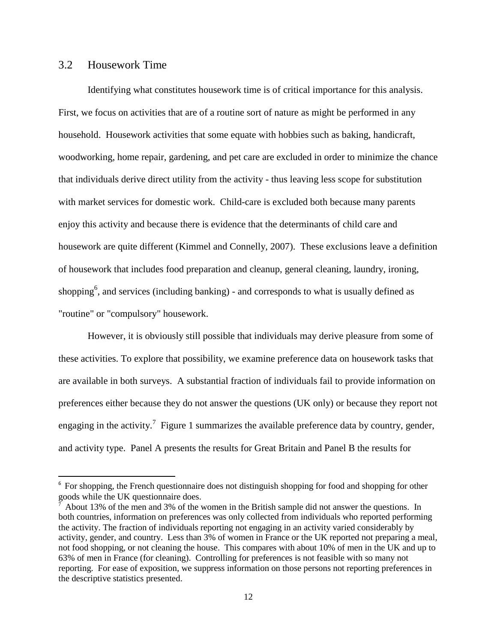#### 3.2 Housework Time

 $\overline{a}$ 

Identifying what constitutes housework time is of critical importance for this analysis. First, we focus on activities that are of a routine sort of nature as might be performed in any household. Housework activities that some equate with hobbies such as baking, handicraft, woodworking, home repair, gardening, and pet care are excluded in order to minimize the chance that individuals derive direct utility from the activity - thus leaving less scope for substitution with market services for domestic work. Child-care is excluded both because many parents enjoy this activity and because there is evidence that the determinants of child care and housework are quite different (Kimmel and Connelly, 2007). These exclusions leave a definition of housework that includes food preparation and cleanup, general cleaning, laundry, ironing, shopping<sup>6</sup>, and services (including banking) - and corresponds to what is usually defined as "routine" or "compulsory" housework.

However, it is obviously still possible that individuals may derive pleasure from some of these activities. To explore that possibility, we examine preference data on housework tasks that are available in both surveys. A substantial fraction of individuals fail to provide information on preferences either because they do not answer the questions (UK only) or because they report not engaging in the activity.<sup>7</sup> Figure 1 summarizes the available preference data by country, gender, and activity type. Panel A presents the results for Great Britain and Panel B the results for

<sup>&</sup>lt;sup>6</sup> For shopping, the French questionnaire does not distinguish shopping for food and shopping for other goods while the UK questionnaire does.

<sup>7</sup> About 13% of the men and 3% of the women in the British sample did not answer the questions. In both countries, information on preferences was only collected from individuals who reported performing the activity. The fraction of individuals reporting not engaging in an activity varied considerably by activity, gender, and country. Less than 3% of women in France or the UK reported not preparing a meal, not food shopping, or not cleaning the house. This compares with about 10% of men in the UK and up to 63% of men in France (for cleaning). Controlling for preferences is not feasible with so many not reporting. For ease of exposition, we suppress information on those persons not reporting preferences in the descriptive statistics presented.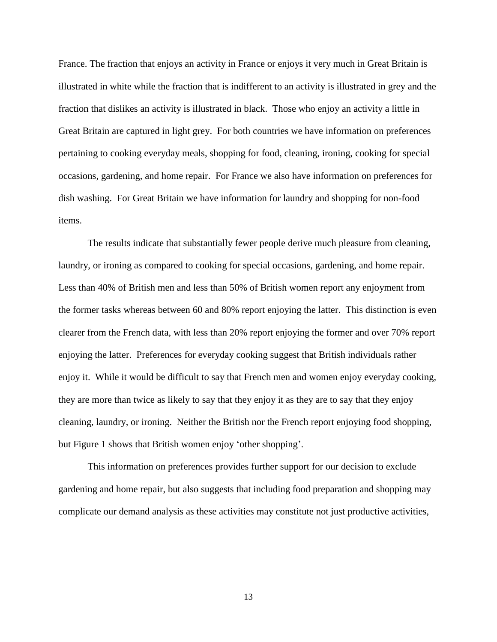France. The fraction that enjoys an activity in France or enjoys it very much in Great Britain is illustrated in white while the fraction that is indifferent to an activity is illustrated in grey and the fraction that dislikes an activity is illustrated in black. Those who enjoy an activity a little in Great Britain are captured in light grey. For both countries we have information on preferences pertaining to cooking everyday meals, shopping for food, cleaning, ironing, cooking for special occasions, gardening, and home repair. For France we also have information on preferences for dish washing. For Great Britain we have information for laundry and shopping for non-food items.

The results indicate that substantially fewer people derive much pleasure from cleaning, laundry, or ironing as compared to cooking for special occasions, gardening, and home repair. Less than 40% of British men and less than 50% of British women report any enjoyment from the former tasks whereas between 60 and 80% report enjoying the latter. This distinction is even clearer from the French data, with less than 20% report enjoying the former and over 70% report enjoying the latter. Preferences for everyday cooking suggest that British individuals rather enjoy it. While it would be difficult to say that French men and women enjoy everyday cooking, they are more than twice as likely to say that they enjoy it as they are to say that they enjoy cleaning, laundry, or ironing. Neither the British nor the French report enjoying food shopping, but Figure 1 shows that British women enjoy 'other shopping'.

This information on preferences provides further support for our decision to exclude gardening and home repair, but also suggests that including food preparation and shopping may complicate our demand analysis as these activities may constitute not just productive activities,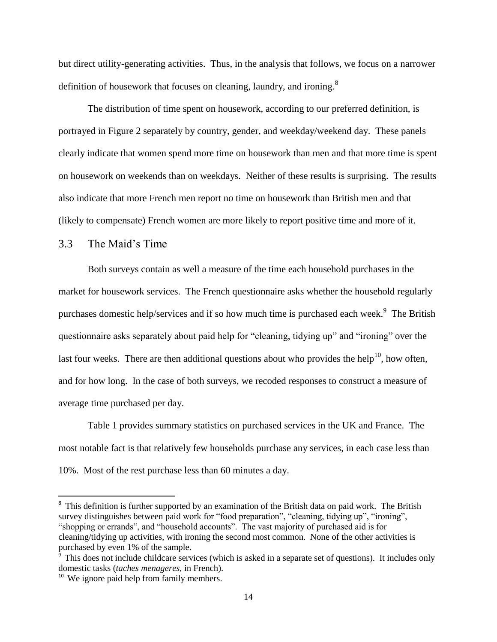but direct utility-generating activities. Thus, in the analysis that follows, we focus on a narrower definition of housework that focuses on cleaning, laundry, and ironing.<sup>8</sup>

The distribution of time spent on housework, according to our preferred definition, is portrayed in Figure 2 separately by country, gender, and weekday/weekend day. These panels clearly indicate that women spend more time on housework than men and that more time is spent on housework on weekends than on weekdays. Neither of these results is surprising. The results also indicate that more French men report no time on housework than British men and that (likely to compensate) French women are more likely to report positive time and more of it.

#### 3.3 The Maid"s Time

Both surveys contain as well a measure of the time each household purchases in the market for housework services. The French questionnaire asks whether the household regularly purchases domestic help/services and if so how much time is purchased each week.<sup>9</sup> The British questionnaire asks separately about paid help for "cleaning, tidying up" and "ironing" over the last four weeks. There are then additional questions about who provides the help<sup>10</sup>, how often, and for how long. In the case of both surveys, we recoded responses to construct a measure of average time purchased per day.

Table 1 provides summary statistics on purchased services in the UK and France. The most notable fact is that relatively few households purchase any services, in each case less than 10%. Most of the rest purchase less than 60 minutes a day.

 $\overline{\phantom{a}}$ 

<sup>&</sup>lt;sup>8</sup> This definition is further supported by an examination of the British data on paid work. The British survey distinguishes between paid work for "food preparation", "cleaning, tidying up", "ironing", "shopping or errands", and "household accounts". The vast majority of purchased aid is for cleaning/tidying up activities, with ironing the second most common. None of the other activities is purchased by even 1% of the sample.

<sup>&</sup>lt;sup>9</sup> This does not include childcare services (which is asked in a separate set of questions). It includes only domestic tasks (*taches menageres,* in French).

<sup>&</sup>lt;sup>10</sup> We ignore paid help from family members.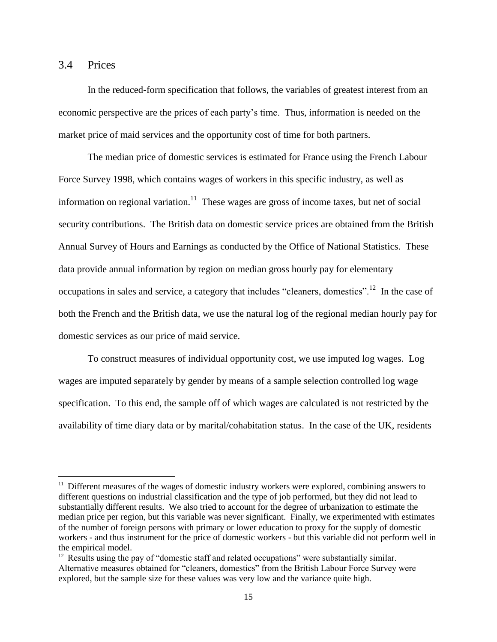#### 3.4 Prices

 $\overline{a}$ 

In the reduced-form specification that follows, the variables of greatest interest from an economic perspective are the prices of each party"s time. Thus, information is needed on the market price of maid services and the opportunity cost of time for both partners.

The median price of domestic services is estimated for France using the French Labour Force Survey 1998, which contains wages of workers in this specific industry, as well as information on regional variation.<sup>11</sup> These wages are gross of income taxes, but net of social security contributions. The British data on domestic service prices are obtained from the British Annual Survey of Hours and Earnings as conducted by the Office of National Statistics. These data provide annual information by region on median gross hourly pay for elementary occupations in sales and service, a category that includes "cleaners, domestics".<sup>12</sup> In the case of both the French and the British data, we use the natural log of the regional median hourly pay for domestic services as our price of maid service.

To construct measures of individual opportunity cost, we use imputed log wages. Log wages are imputed separately by gender by means of a sample selection controlled log wage specification. To this end, the sample off of which wages are calculated is not restricted by the availability of time diary data or by marital/cohabitation status. In the case of the UK, residents

 $11$  Different measures of the wages of domestic industry workers were explored, combining answers to different questions on industrial classification and the type of job performed, but they did not lead to substantially different results. We also tried to account for the degree of urbanization to estimate the median price per region, but this variable was never significant. Finally, we experimented with estimates of the number of foreign persons with primary or lower education to proxy for the supply of domestic workers - and thus instrument for the price of domestic workers - but this variable did not perform well in the empirical model.

 $12$  Results using the pay of "domestic staff and related occupations" were substantially similar. Alternative measures obtained for "cleaners, domestics" from the British Labour Force Survey were explored, but the sample size for these values was very low and the variance quite high.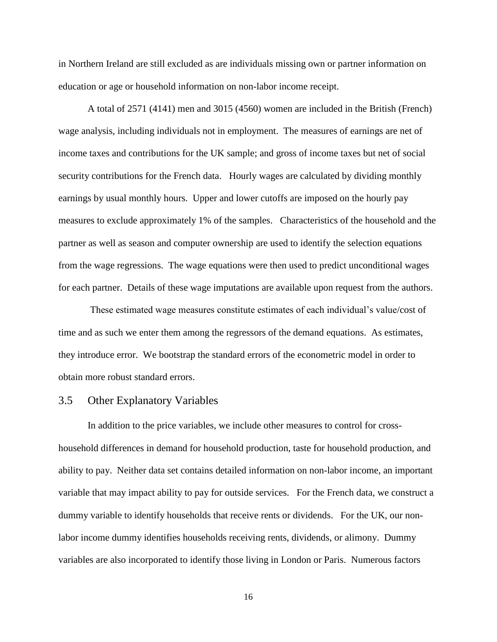in Northern Ireland are still excluded as are individuals missing own or partner information on education or age or household information on non-labor income receipt.

A total of 2571 (4141) men and 3015 (4560) women are included in the British (French) wage analysis, including individuals not in employment. The measures of earnings are net of income taxes and contributions for the UK sample; and gross of income taxes but net of social security contributions for the French data. Hourly wages are calculated by dividing monthly earnings by usual monthly hours. Upper and lower cutoffs are imposed on the hourly pay measures to exclude approximately 1% of the samples. Characteristics of the household and the partner as well as season and computer ownership are used to identify the selection equations from the wage regressions. The wage equations were then used to predict unconditional wages for each partner. Details of these wage imputations are available upon request from the authors.

These estimated wage measures constitute estimates of each individual"s value/cost of time and as such we enter them among the regressors of the demand equations. As estimates, they introduce error. We bootstrap the standard errors of the econometric model in order to obtain more robust standard errors.

#### 3.5 Other Explanatory Variables

In addition to the price variables, we include other measures to control for crosshousehold differences in demand for household production, taste for household production, and ability to pay. Neither data set contains detailed information on non-labor income, an important variable that may impact ability to pay for outside services. For the French data, we construct a dummy variable to identify households that receive rents or dividends. For the UK, our nonlabor income dummy identifies households receiving rents, dividends, or alimony. Dummy variables are also incorporated to identify those living in London or Paris. Numerous factors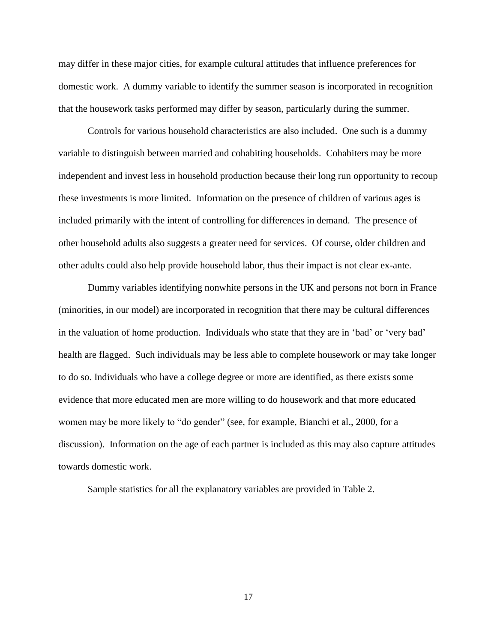may differ in these major cities, for example cultural attitudes that influence preferences for domestic work. A dummy variable to identify the summer season is incorporated in recognition that the housework tasks performed may differ by season, particularly during the summer.

Controls for various household characteristics are also included. One such is a dummy variable to distinguish between married and cohabiting households. Cohabiters may be more independent and invest less in household production because their long run opportunity to recoup these investments is more limited. Information on the presence of children of various ages is included primarily with the intent of controlling for differences in demand. The presence of other household adults also suggests a greater need for services. Of course, older children and other adults could also help provide household labor, thus their impact is not clear ex-ante.

Dummy variables identifying nonwhite persons in the UK and persons not born in France (minorities, in our model) are incorporated in recognition that there may be cultural differences in the valuation of home production. Individuals who state that they are in 'bad' or 'very bad' health are flagged. Such individuals may be less able to complete housework or may take longer to do so. Individuals who have a college degree or more are identified, as there exists some evidence that more educated men are more willing to do housework and that more educated women may be more likely to "do gender" (see, for example, Bianchi et al., 2000, for a discussion). Information on the age of each partner is included as this may also capture attitudes towards domestic work.

Sample statistics for all the explanatory variables are provided in Table 2.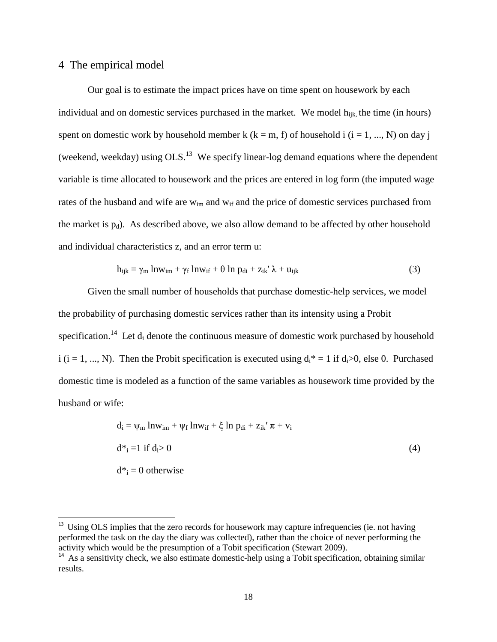#### 4 The empirical model

 $\overline{a}$ 

Our goal is to estimate the impact prices have on time spent on housework by each individual and on domestic services purchased in the market. We model  $h_{ijk}$ , the time (in hours) spent on domestic work by household member k ( $k = m$ , f) of household i ( $i = 1, ..., N$ ) on day j (weekend, weekday) using  $OLS<sup>13</sup>$  We specify linear-log demand equations where the dependent variable is time allocated to housework and the prices are entered in log form (the imputed wage rates of the husband and wife are  $w_{im}$  and  $w_{if}$  and the price of domestic services purchased from the market is  $p_d$ ). As described above, we also allow demand to be affected by other household and individual characteristics z, and an error term u:

$$
h_{ijk} = \gamma_m \ln w_{im} + \gamma_f \ln w_{if} + \theta \ln p_{di} + z_{ik}' \lambda + u_{ijk}
$$
 (3)

Given the small number of households that purchase domestic-help services, we model the probability of purchasing domestic services rather than its intensity using a Probit specification.<sup>14</sup> Let  $d_i$  denote the continuous measure of domestic work purchased by household i (i = 1, ..., N). Then the Probit specification is executed using  $d_i^* = 1$  if  $d_i > 0$ , else 0. Purchased domestic time is modeled as a function of the same variables as housework time provided by the husband or wife:

$$
d_i = \psi_m \ln w_{im} + \psi_f \ln w_{if} + \xi \ln p_{di} + z_{ik}' \pi + v_i
$$
  
\n
$$
d^*_{i} = 1 \text{ if } d_i > 0
$$
\n
$$
d^*_{i} = 0 \text{ otherwise}
$$
\n(4)

<sup>&</sup>lt;sup>13</sup> Using OLS implies that the zero records for housework may capture infrequencies (ie. not having performed the task on the day the diary was collected), rather than the choice of never performing the activity which would be the presumption of a Tobit specification (Stewart 2009).

<sup>&</sup>lt;sup>14</sup> As a sensitivity check, we also estimate domestic-help using a Tobit specification, obtaining similar results.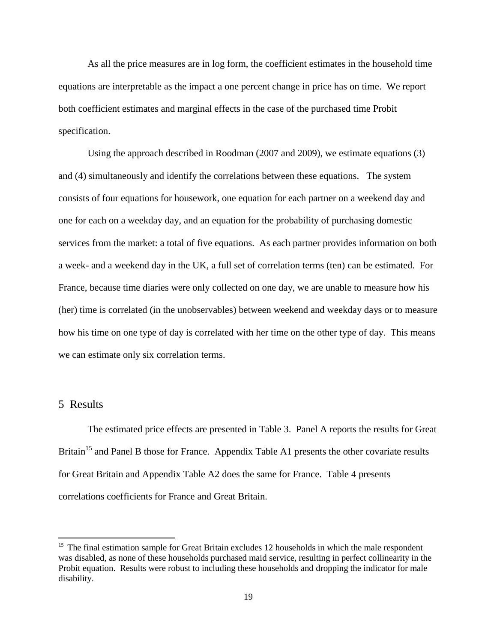As all the price measures are in log form, the coefficient estimates in the household time equations are interpretable as the impact a one percent change in price has on time. We report both coefficient estimates and marginal effects in the case of the purchased time Probit specification.

Using the approach described in Roodman (2007 and 2009), we estimate equations (3) and (4) simultaneously and identify the correlations between these equations. The system consists of four equations for housework, one equation for each partner on a weekend day and one for each on a weekday day, and an equation for the probability of purchasing domestic services from the market: a total of five equations. As each partner provides information on both a week- and a weekend day in the UK, a full set of correlation terms (ten) can be estimated. For France, because time diaries were only collected on one day, we are unable to measure how his (her) time is correlated (in the unobservables) between weekend and weekday days or to measure how his time on one type of day is correlated with her time on the other type of day. This means we can estimate only six correlation terms.

#### 5 Results

 $\overline{\phantom{a}}$ 

The estimated price effects are presented in Table 3. Panel A reports the results for Great Britain<sup>15</sup> and Panel B those for France. Appendix Table A1 presents the other covariate results for Great Britain and Appendix Table A2 does the same for France. Table 4 presents correlations coefficients for France and Great Britain.

<sup>&</sup>lt;sup>15</sup> The final estimation sample for Great Britain excludes 12 households in which the male respondent was disabled, as none of these households purchased maid service, resulting in perfect collinearity in the Probit equation. Results were robust to including these households and dropping the indicator for male disability.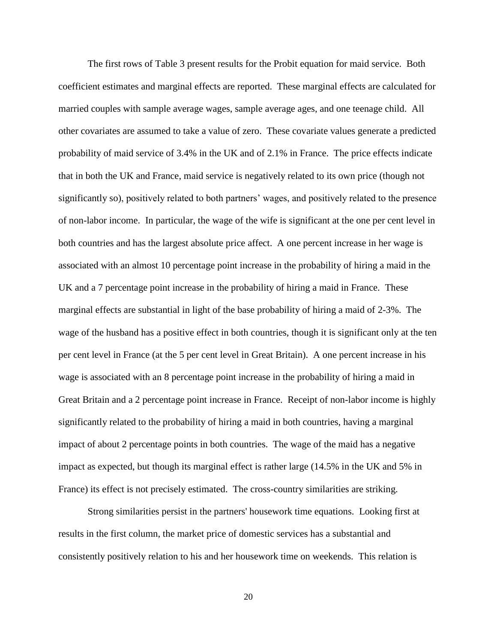The first rows of Table 3 present results for the Probit equation for maid service. Both coefficient estimates and marginal effects are reported. These marginal effects are calculated for married couples with sample average wages, sample average ages, and one teenage child. All other covariates are assumed to take a value of zero. These covariate values generate a predicted probability of maid service of 3.4% in the UK and of 2.1% in France. The price effects indicate that in both the UK and France, maid service is negatively related to its own price (though not significantly so), positively related to both partners' wages, and positively related to the presence of non-labor income. In particular, the wage of the wife is significant at the one per cent level in both countries and has the largest absolute price affect. A one percent increase in her wage is associated with an almost 10 percentage point increase in the probability of hiring a maid in the UK and a 7 percentage point increase in the probability of hiring a maid in France. These marginal effects are substantial in light of the base probability of hiring a maid of 2-3%. The wage of the husband has a positive effect in both countries, though it is significant only at the ten per cent level in France (at the 5 per cent level in Great Britain). A one percent increase in his wage is associated with an 8 percentage point increase in the probability of hiring a maid in Great Britain and a 2 percentage point increase in France. Receipt of non-labor income is highly significantly related to the probability of hiring a maid in both countries, having a marginal impact of about 2 percentage points in both countries. The wage of the maid has a negative impact as expected, but though its marginal effect is rather large (14.5% in the UK and 5% in France) its effect is not precisely estimated. The cross-country similarities are striking.

Strong similarities persist in the partners' housework time equations. Looking first at results in the first column, the market price of domestic services has a substantial and consistently positively relation to his and her housework time on weekends. This relation is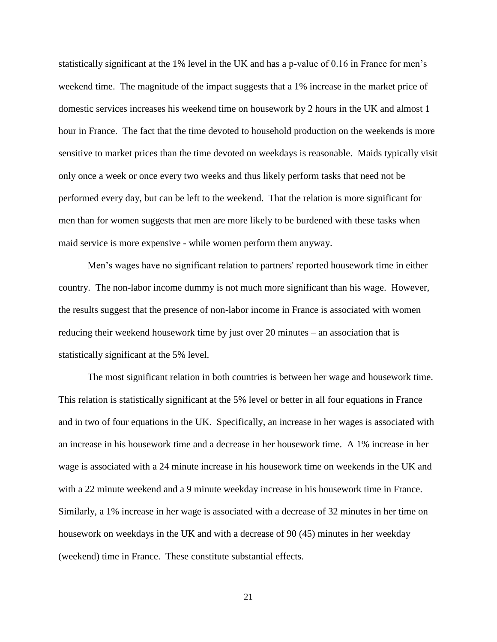statistically significant at the 1% level in the UK and has a p-value of 0.16 in France for men"s weekend time. The magnitude of the impact suggests that a 1% increase in the market price of domestic services increases his weekend time on housework by 2 hours in the UK and almost 1 hour in France. The fact that the time devoted to household production on the weekends is more sensitive to market prices than the time devoted on weekdays is reasonable. Maids typically visit only once a week or once every two weeks and thus likely perform tasks that need not be performed every day, but can be left to the weekend. That the relation is more significant for men than for women suggests that men are more likely to be burdened with these tasks when maid service is more expensive - while women perform them anyway.

Men"s wages have no significant relation to partners' reported housework time in either country. The non-labor income dummy is not much more significant than his wage. However, the results suggest that the presence of non-labor income in France is associated with women reducing their weekend housework time by just over 20 minutes – an association that is statistically significant at the 5% level.

The most significant relation in both countries is between her wage and housework time. This relation is statistically significant at the 5% level or better in all four equations in France and in two of four equations in the UK. Specifically, an increase in her wages is associated with an increase in his housework time and a decrease in her housework time. A 1% increase in her wage is associated with a 24 minute increase in his housework time on weekends in the UK and with a 22 minute weekend and a 9 minute weekday increase in his housework time in France. Similarly, a 1% increase in her wage is associated with a decrease of 32 minutes in her time on housework on weekdays in the UK and with a decrease of 90 (45) minutes in her weekday (weekend) time in France. These constitute substantial effects.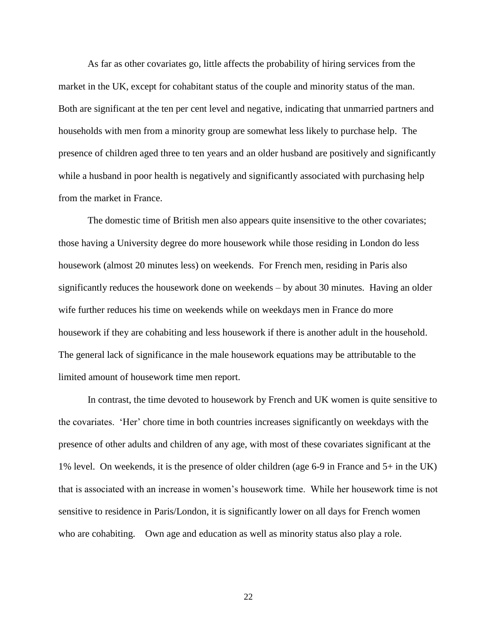As far as other covariates go, little affects the probability of hiring services from the market in the UK, except for cohabitant status of the couple and minority status of the man. Both are significant at the ten per cent level and negative, indicating that unmarried partners and households with men from a minority group are somewhat less likely to purchase help. The presence of children aged three to ten years and an older husband are positively and significantly while a husband in poor health is negatively and significantly associated with purchasing help from the market in France.

The domestic time of British men also appears quite insensitive to the other covariates; those having a University degree do more housework while those residing in London do less housework (almost 20 minutes less) on weekends. For French men, residing in Paris also significantly reduces the housework done on weekends – by about 30 minutes. Having an older wife further reduces his time on weekends while on weekdays men in France do more housework if they are cohabiting and less housework if there is another adult in the household. The general lack of significance in the male housework equations may be attributable to the limited amount of housework time men report.

In contrast, the time devoted to housework by French and UK women is quite sensitive to the covariates. "Her" chore time in both countries increases significantly on weekdays with the presence of other adults and children of any age, with most of these covariates significant at the 1% level. On weekends, it is the presence of older children (age 6-9 in France and 5+ in the UK) that is associated with an increase in women"s housework time. While her housework time is not sensitive to residence in Paris/London, it is significantly lower on all days for French women who are cohabiting. Own age and education as well as minority status also play a role.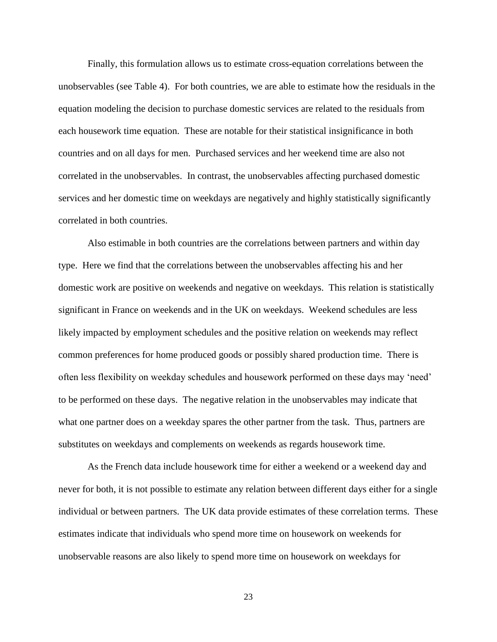Finally, this formulation allows us to estimate cross-equation correlations between the unobservables (see Table 4). For both countries, we are able to estimate how the residuals in the equation modeling the decision to purchase domestic services are related to the residuals from each housework time equation. These are notable for their statistical insignificance in both countries and on all days for men. Purchased services and her weekend time are also not correlated in the unobservables. In contrast, the unobservables affecting purchased domestic services and her domestic time on weekdays are negatively and highly statistically significantly correlated in both countries.

Also estimable in both countries are the correlations between partners and within day type. Here we find that the correlations between the unobservables affecting his and her domestic work are positive on weekends and negative on weekdays. This relation is statistically significant in France on weekends and in the UK on weekdays. Weekend schedules are less likely impacted by employment schedules and the positive relation on weekends may reflect common preferences for home produced goods or possibly shared production time. There is often less flexibility on weekday schedules and housework performed on these days may "need" to be performed on these days. The negative relation in the unobservables may indicate that what one partner does on a weekday spares the other partner from the task. Thus, partners are substitutes on weekdays and complements on weekends as regards housework time.

As the French data include housework time for either a weekend or a weekend day and never for both, it is not possible to estimate any relation between different days either for a single individual or between partners. The UK data provide estimates of these correlation terms. These estimates indicate that individuals who spend more time on housework on weekends for unobservable reasons are also likely to spend more time on housework on weekdays for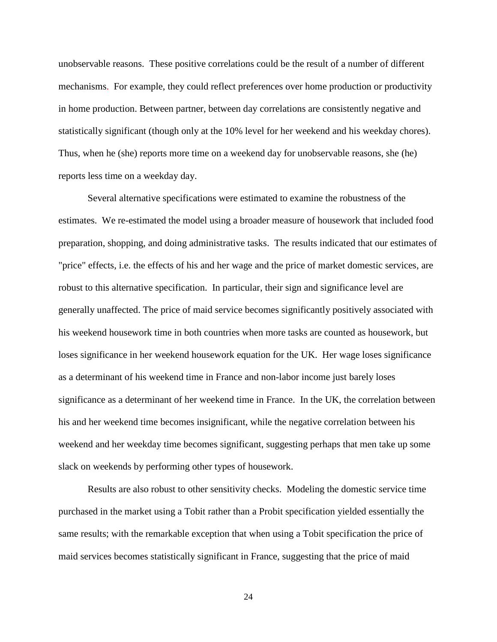unobservable reasons. These positive correlations could be the result of a number of different mechanisms. For example, they could reflect preferences over home production or productivity in home production. Between partner, between day correlations are consistently negative and statistically significant (though only at the 10% level for her weekend and his weekday chores). Thus, when he (she) reports more time on a weekend day for unobservable reasons, she (he) reports less time on a weekday day.

Several alternative specifications were estimated to examine the robustness of the estimates. We re-estimated the model using a broader measure of housework that included food preparation, shopping, and doing administrative tasks. The results indicated that our estimates of "price" effects, i.e. the effects of his and her wage and the price of market domestic services, are robust to this alternative specification. In particular, their sign and significance level are generally unaffected. The price of maid service becomes significantly positively associated with his weekend housework time in both countries when more tasks are counted as housework, but loses significance in her weekend housework equation for the UK. Her wage loses significance as a determinant of his weekend time in France and non-labor income just barely loses significance as a determinant of her weekend time in France. In the UK, the correlation between his and her weekend time becomes insignificant, while the negative correlation between his weekend and her weekday time becomes significant, suggesting perhaps that men take up some slack on weekends by performing other types of housework.

Results are also robust to other sensitivity checks. Modeling the domestic service time purchased in the market using a Tobit rather than a Probit specification yielded essentially the same results; with the remarkable exception that when using a Tobit specification the price of maid services becomes statistically significant in France, suggesting that the price of maid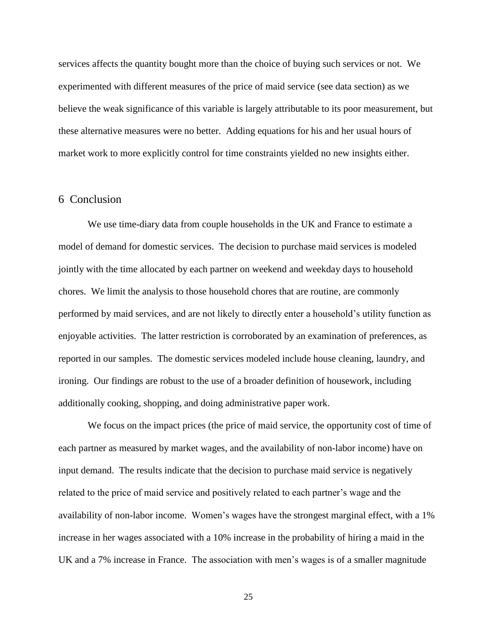services affects the quantity bought more than the choice of buying such services or not. We experimented with different measures of the price of maid service (see data section) as we believe the weak significance of this variable is largely attributable to its poor measurement, but these alternative measures were no better. Adding equations for his and her usual hours of market work to more explicitly control for time constraints yielded no new insights either.

#### 6 Conclusion

We use time-diary data from couple households in the UK and France to estimate a model of demand for domestic services. The decision to purchase maid services is modeled jointly with the time allocated by each partner on weekend and weekday days to household chores. We limit the analysis to those household chores that are routine, are commonly performed by maid services, and are not likely to directly enter a household"s utility function as enjoyable activities. The latter restriction is corroborated by an examination of preferences, as reported in our samples. The domestic services modeled include house cleaning, laundry, and ironing. Our findings are robust to the use of a broader definition of housework, including additionally cooking, shopping, and doing administrative paper work.

We focus on the impact prices (the price of maid service, the opportunity cost of time of each partner as measured by market wages, and the availability of non-labor income) have on input demand. The results indicate that the decision to purchase maid service is negatively related to the price of maid service and positively related to each partner"s wage and the availability of non-labor income. Women's wages have the strongest marginal effect, with a 1% increase in her wages associated with a 10% increase in the probability of hiring a maid in the UK and a 7% increase in France. The association with men"s wages is of a smaller magnitude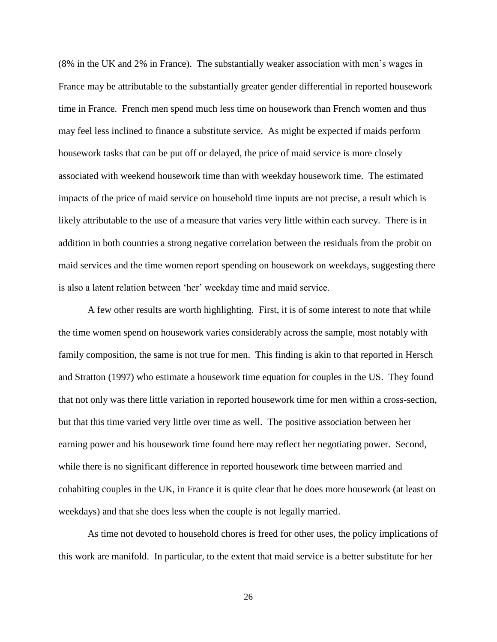(8% in the UK and 2% in France). The substantially weaker association with men"s wages in France may be attributable to the substantially greater gender differential in reported housework time in France. French men spend much less time on housework than French women and thus may feel less inclined to finance a substitute service. As might be expected if maids perform housework tasks that can be put off or delayed, the price of maid service is more closely associated with weekend housework time than with weekday housework time. The estimated impacts of the price of maid service on household time inputs are not precise, a result which is likely attributable to the use of a measure that varies very little within each survey. There is in addition in both countries a strong negative correlation between the residuals from the probit on maid services and the time women report spending on housework on weekdays, suggesting there is also a latent relation between "her" weekday time and maid service.

A few other results are worth highlighting. First, it is of some interest to note that while the time women spend on housework varies considerably across the sample, most notably with family composition, the same is not true for men. This finding is akin to that reported in Hersch and Stratton (1997) who estimate a housework time equation for couples in the US. They found that not only was there little variation in reported housework time for men within a cross-section, but that this time varied very little over time as well. The positive association between her earning power and his housework time found here may reflect her negotiating power. Second, while there is no significant difference in reported housework time between married and cohabiting couples in the UK, in France it is quite clear that he does more housework (at least on weekdays) and that she does less when the couple is not legally married.

As time not devoted to household chores is freed for other uses, the policy implications of this work are manifold. In particular, to the extent that maid service is a better substitute for her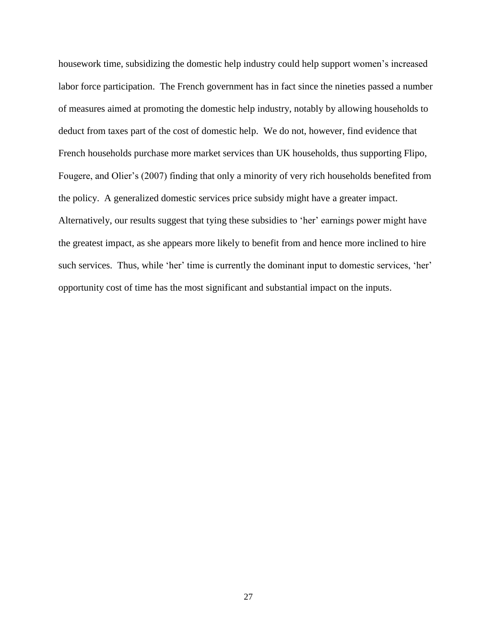housework time, subsidizing the domestic help industry could help support women"s increased labor force participation. The French government has in fact since the nineties passed a number of measures aimed at promoting the domestic help industry, notably by allowing households to deduct from taxes part of the cost of domestic help. We do not, however, find evidence that French households purchase more market services than UK households, thus supporting Flipo, Fougere, and Olier"s (2007) finding that only a minority of very rich households benefited from the policy. A generalized domestic services price subsidy might have a greater impact. Alternatively, our results suggest that tying these subsidies to "her" earnings power might have the greatest impact, as she appears more likely to benefit from and hence more inclined to hire such services. Thus, while 'her' time is currently the dominant input to domestic services, 'her' opportunity cost of time has the most significant and substantial impact on the inputs.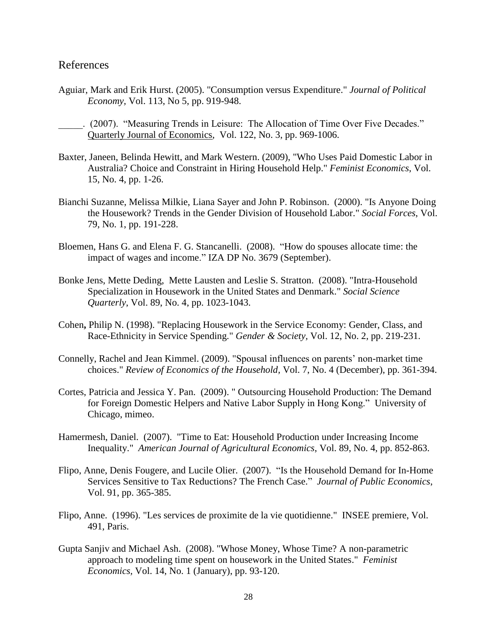#### References

- Aguiar, Mark and Erik Hurst. (2005). "Consumption versus Expenditure." *Journal of Political Economy,* Vol. 113, No 5, pp. 919-948.
- \_\_\_\_\_. (2007). "Measuring Trends in Leisure: The Allocation of Time Over Five Decades." Quarterly Journal of Economics, Vol. 122, No. 3, pp. 969-1006.
- Baxter, Janeen, Belinda Hewitt, and Mark Western. (2009), "Who Uses Paid Domestic Labor in Australia? Choice and Constraint in Hiring Household Help." *Feminist Economics*, Vol. 15, No. 4, pp. 1-26.
- Bianchi Suzanne, Melissa Milkie, Liana Sayer and John P. Robinson. (2000). "Is Anyone Doing the Housework? Trends in the Gender Division of Household Labor." *Social Forces*, Vol. 79, No. 1, pp. 191-228.
- Bloemen, Hans G. and Elena F. G. Stancanelli. (2008). "How do spouses allocate time: the impact of wages and income." IZA DP No. 3679 (September).
- Bonke Jens, Mette Deding, Mette Lausten and Leslie S. Stratton. (2008). ["Intra-Household](http://ideas.repec.org/a/bla/socsci/v89y2008i4p1023-1043.html)  [Specialization in Housework in the United States and Denmark.](http://ideas.repec.org/a/bla/socsci/v89y2008i4p1023-1043.html)" *[Social Science](http://ideas.repec.org/s/bla/socsci.html)  [Quarterly](http://ideas.repec.org/s/bla/socsci.html)*, Vol. 89, No. 4, pp. 1023-1043.
- Cohen**,** Philip N. (1998). "Replacing Housework in the Service Economy: Gender, Class, and Race-Ethnicity in Service Spending." *Gender & Society,* Vol. 12, No. 2, pp. 219-231.
- Connelly, Rachel and Jean Kimmel. (2009). ["Spousal influences on parents" non-market time](http://ideas.repec.org/a/kap/reveho/v7y2009i4p361-394.html)  [choices.](http://ideas.repec.org/a/kap/reveho/v7y2009i4p361-394.html)" *[Review of Economics of the Household,](http://ideas.repec.org/s/kap/reveho.html)* Vol. 7, No. 4 (December), pp. 361-394.
- Cortes, Patricia and Jessica Y. Pan. (2009). " Outsourcing Household Production: The Demand for Foreign Domestic Helpers and Native Labor Supply in Hong Kong." University of Chicago, mimeo.
- Hamermesh, Daniel. (2007). "Time to Eat: Household Production under Increasing Income Inequality." *American Journal of Agricultural Economics*, Vol. 89, No. 4, pp. 852-863.
- Flipo, Anne, Denis Fougere, and Lucile Olier. (2007). "Is the Household Demand for In-Home Services Sensitive to Tax Reductions? The French Case." *Journal of Public Economics*, Vol. 91, pp. 365-385.
- Flipo, Anne. (1996). "Les services de proximite de la vie quotidienne." INSEE premiere, Vol. 491, Paris.
- Gupta Sanjiv and Michael Ash. (2008). "Whose Money, Whose Time? A non-parametric approach to modeling time spent on housework in the United States." *Feminist Economics,* Vol. 14, No. 1 (January), pp. 93-120.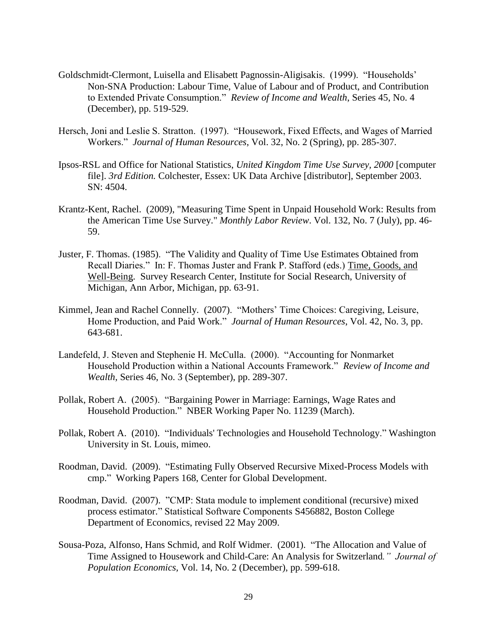- Goldschmidt-Clermont, Luisella and Elisabett Pagnossin-Aligisakis. (1999). "Households" Non-SNA Production: Labour Time, Value of Labour and of Product, and Contribution to Extended Private Consumption." *Review of Income and Wealth*, Series 45, No. 4 (December), pp. 519-529.
- Hersch, Joni and Leslie S. Stratton. (1997). "Housework, Fixed Effects, and Wages of Married Workers." *Journal of Human Resources*, Vol. 32, No. 2 (Spring), pp. 285-307.
- Ipsos-RSL and Office for National Statistics, *United Kingdom Time Use Survey, 2000* [computer file]. *3rd Edition.* Colchester, Essex: UK Data Archive [distributor], September 2003. SN: 4504.
- Krantz-Kent, Rachel. (2009), "Measuring Time Spent in Unpaid Household Work: Results from the American Time Use Survey." *Monthly Labor Review*. Vol. 132, No. 7 (July), pp. 46- 59.
- Juster, F. Thomas. (1985). "The Validity and Quality of Time Use Estimates Obtained from Recall Diaries." In: F. Thomas Juster and Frank P. Stafford (eds.) Time, Goods, and Well-Being. Survey Research Center, Institute for Social Research, University of Michigan, Ann Arbor, Michigan, pp. 63-91.
- Kimmel, Jean and Rachel Connelly. (2007). "Mothers" Time Choices: Caregiving, Leisure, Home Production, and Paid Work." *Journal of Human Resources*, Vol. 42, No. 3, pp. 643-681.
- Landefeld, J. Steven and Stephenie H. McCulla. (2000). "Accounting for Nonmarket Household Production within a National Accounts Framework." *Review of Income and Wealth,* Series 46, No. 3 (September), pp. 289-307.
- Pollak, Robert A. (2005). "Bargaining Power in Marriage: Earnings, Wage Rates and Household Production." NBER Working Paper No. 11239 (March).
- Pollak, Robert A. (2010). "Individuals' Technologies and Household Technology." Washington University in St. Louis, mimeo.
- Roodman, David. (2009). "Estimating Fully Observed Recursive Mixed-Process Models with cmp." Working Papers 168, Center for Global Development.
- Roodman, David. (2007). "CMP: Stata module to implement conditional (recursive) mixed process estimator." Statistical Software Components S456882, Boston College Department of Economics, revised 22 May 2009.
- Sousa-Poza, Alfonso, Hans Schmid, and Rolf Widmer. (2001). "The Allocation and Value of Time Assigned to Housework and Child-Care: An Analysis for Switzerland*." Journal of Population Economics,* Vol. 14, No. 2 (December), pp. 599-618.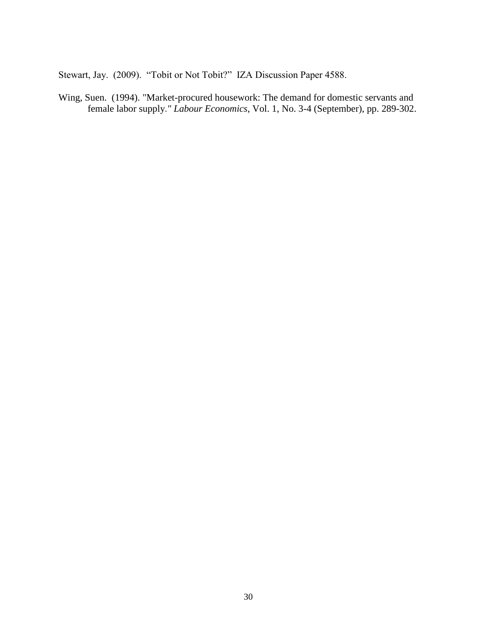Stewart, Jay. (2009). "Tobit or Not Tobit?" IZA Discussion Paper 4588.

Wing, Suen. (1994). ["Market-procured housework: The demand for domestic servants and](http://ideas.repec.org/a/eee/labeco/v1y1994i3-4p289-302.html)  [female labor supply](http://ideas.repec.org/a/eee/labeco/v1y1994i3-4p289-302.html).*" [Labour Economics](http://ideas.repec.org/s/eee/labeco.html)*, Vol. 1, No. 3-4 (September), pp. 289-302.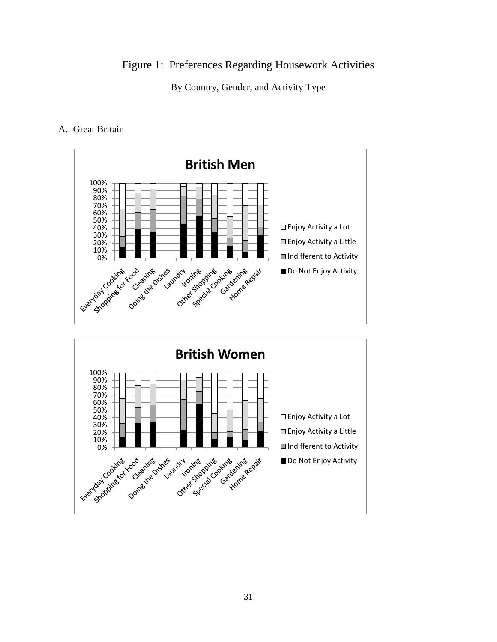Figure 1: Preferences Regarding Housework Activities

By Country, Gender, and Activity Type

#### A. Great Britain



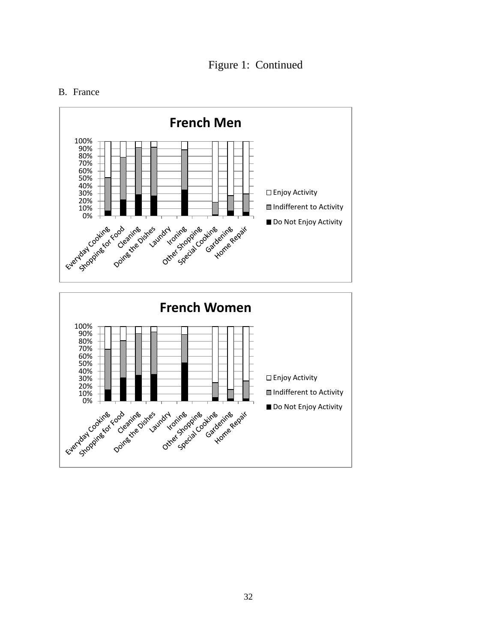### Figure 1: Continued

#### B. France

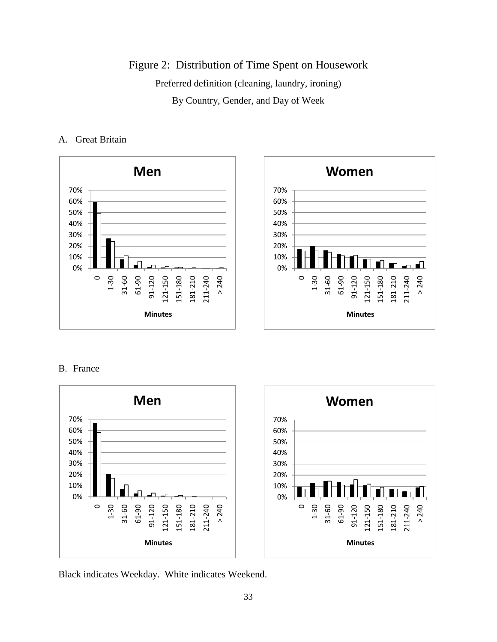Figure 2: Distribution of Time Spent on Housework Preferred definition (cleaning, laundry, ironing) By Country, Gender, and Day of Week

#### A. Great Britain



#### B. France



Black indicates Weekday. White indicates Weekend.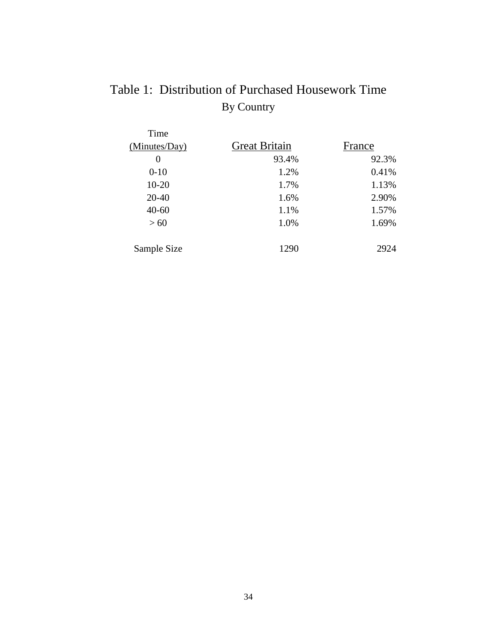## Table 1: Distribution of Purchased Housework Time By Country

| Time          |                      |        |
|---------------|----------------------|--------|
| (Minutes/Day) | <b>Great Britain</b> | France |
| $\theta$      | 93.4%                | 92.3%  |
| $0-10$        | 1.2%                 | 0.41%  |
| $10 - 20$     | 1.7%                 | 1.13%  |
| 20-40         | 1.6%                 | 2.90%  |
| $40 - 60$     | 1.1%                 | 1.57%  |
| >60           | 1.0%                 | 1.69%  |
| Sample Size   | 1290                 | 2924   |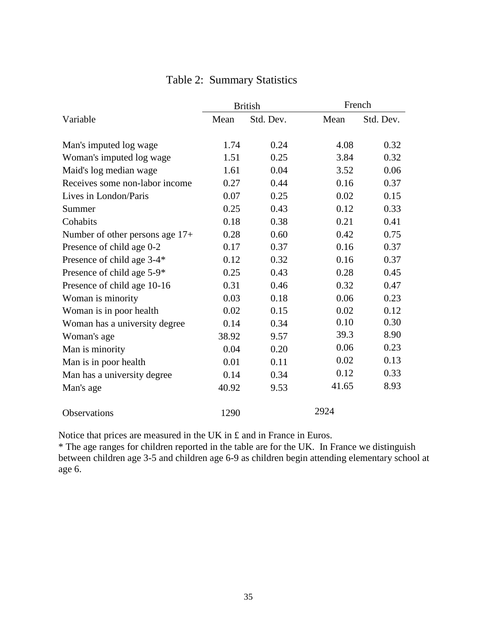|                                   |       | <b>British</b> | French |           |  |
|-----------------------------------|-------|----------------|--------|-----------|--|
| Variable                          | Mean  | Std. Dev.      | Mean   | Std. Dev. |  |
| Man's imputed log wage            | 1.74  | 0.24           | 4.08   | 0.32      |  |
| Woman's imputed log wage          | 1.51  | 0.25           | 3.84   | 0.32      |  |
| Maid's log median wage            | 1.61  | 0.04           | 3.52   | 0.06      |  |
| Receives some non-labor income    | 0.27  | 0.44           | 0.16   | 0.37      |  |
| Lives in London/Paris             | 0.07  | 0.25           | 0.02   | 0.15      |  |
| Summer                            | 0.25  | 0.43           | 0.12   | 0.33      |  |
| Cohabits                          | 0.18  | 0.38           | 0.21   | 0.41      |  |
| Number of other persons age $17+$ | 0.28  | 0.60           | 0.42   | 0.75      |  |
| Presence of child age 0-2         | 0.17  | 0.37           | 0.16   | 0.37      |  |
| Presence of child age 3-4*        | 0.12  | 0.32           | 0.16   | 0.37      |  |
| Presence of child age 5-9*        | 0.25  | 0.43           | 0.28   | 0.45      |  |
| Presence of child age 10-16       | 0.31  | 0.46           | 0.32   | 0.47      |  |
| Woman is minority                 | 0.03  | 0.18           | 0.06   | 0.23      |  |
| Woman is in poor health           | 0.02  | 0.15           | 0.02   | 0.12      |  |
| Woman has a university degree     | 0.14  | 0.34           | 0.10   | 0.30      |  |
| Woman's age                       | 38.92 | 9.57           | 39.3   | 8.90      |  |
| Man is minority                   | 0.04  | 0.20           | 0.06   | 0.23      |  |
| Man is in poor health             | 0.01  | 0.11           | 0.02   | 0.13      |  |
| Man has a university degree       | 0.14  | 0.34           | 0.12   | 0.33      |  |
| Man's age                         | 40.92 | 9.53           | 41.65  | 8.93      |  |
| <b>Observations</b>               | 1290  |                | 2924   |           |  |

### Table 2: Summary Statistics

Notice that prices are measured in the UK in £ and in France in Euros.

\* The age ranges for children reported in the table are for the UK. In France we distinguish between children age 3-5 and children age 6-9 as children begin attending elementary school at age 6.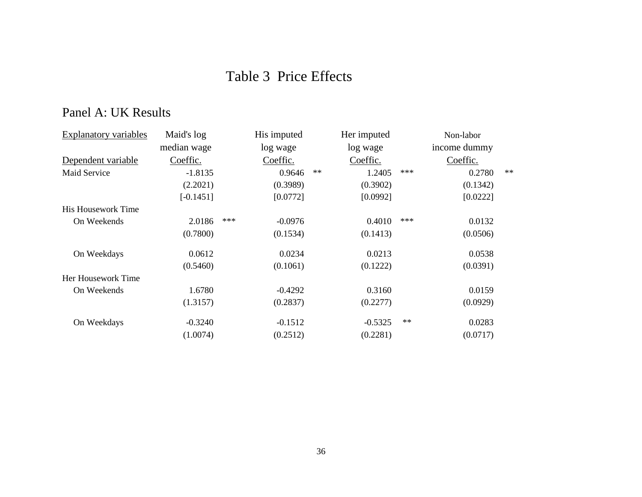## Table 3 Price Effects

## Panel A: UK Results

| <b>Explanatory variables</b> | Maid's log<br>His imputed |     | Her imputed |            | Non-labor |       |              |      |
|------------------------------|---------------------------|-----|-------------|------------|-----------|-------|--------------|------|
|                              | median wage               |     | log wage    |            | log wage  |       | income dummy |      |
| Dependent variable           | Coeffic.                  |     | Coeffic.    |            | Coeffic.  |       | Coeffic.     |      |
| Maid Service                 | $-1.8135$                 |     | 0.9646      | $\ast\ast$ | 1.2405    | $***$ | 0.2780       | $**$ |
|                              | (2.2021)                  |     | (0.3989)    |            | (0.3902)  |       | (0.1342)     |      |
|                              | $[-0.1451]$               |     | [0.0772]    |            | [0.0992]  |       | [0.0222]     |      |
| His Housework Time           |                           |     |             |            |           |       |              |      |
| On Weekends                  | 2.0186                    | *** | $-0.0976$   |            | 0.4010    | ***   | 0.0132       |      |
|                              | (0.7800)                  |     | (0.1534)    |            | (0.1413)  |       | (0.0506)     |      |
| On Weekdays                  | 0.0612                    |     | 0.0234      |            | 0.0213    |       | 0.0538       |      |
|                              | (0.5460)                  |     | (0.1061)    |            | (0.1222)  |       | (0.0391)     |      |
| Her Housework Time           |                           |     |             |            |           |       |              |      |
| On Weekends                  | 1.6780                    |     | $-0.4292$   |            | 0.3160    |       | 0.0159       |      |
|                              | (1.3157)                  |     | (0.2837)    |            | (0.2277)  |       | (0.0929)     |      |
| On Weekdays                  | $-0.3240$                 |     | $-0.1512$   |            | $-0.5325$ | $**$  | 0.0283       |      |
|                              | (1.0074)                  |     | (0.2512)    |            | (0.2281)  |       | (0.0717)     |      |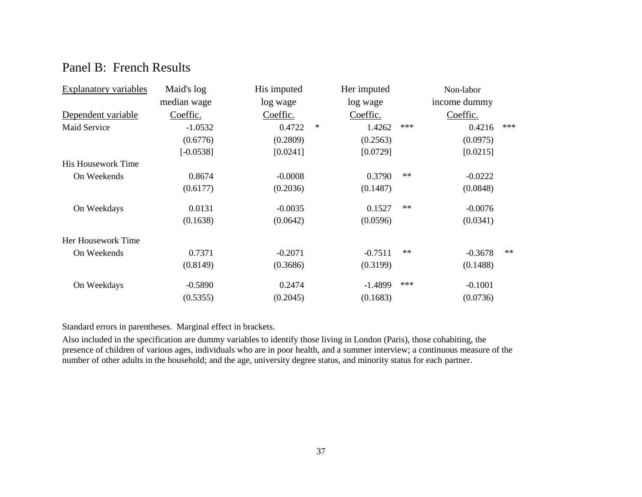### Panel B: French Results

| <b>Explanatory variables</b> | Maid's log  | Her imputed |        | Non-labor |            |              |      |
|------------------------------|-------------|-------------|--------|-----------|------------|--------------|------|
|                              | median wage | log wage    |        | log wage  |            | income dummy |      |
| Dependent variable           | Coeffic.    | Coeffic.    |        | Coeffic.  |            | Coeffic.     |      |
| Maid Service                 | $-1.0532$   | 0.4722      | $\ast$ | 1.4262    | ***        | 0.4216       | ***  |
|                              | (0.6776)    | (0.2809)    |        | (0.2563)  |            | (0.0975)     |      |
|                              | $[-0.0538]$ | [0.0241]    |        | [0.0729]  |            | [0.0215]     |      |
| His Housework Time           |             |             |        |           |            |              |      |
| On Weekends                  | 0.8674      | $-0.0008$   |        | 0.3790    | $\ast\ast$ | $-0.0222$    |      |
|                              | (0.6177)    | (0.2036)    |        | (0.1487)  |            | (0.0848)     |      |
| On Weekdays                  | 0.0131      | $-0.0035$   |        | 0.1527    | $\ast\ast$ | $-0.0076$    |      |
|                              | (0.1638)    | (0.0642)    |        | (0.0596)  |            | (0.0341)     |      |
| Her Housework Time           |             |             |        |           |            |              |      |
| On Weekends                  | 0.7371      | $-0.2071$   |        | $-0.7511$ | $\ast\ast$ | $-0.3678$    | $**$ |
|                              | (0.8149)    | (0.3686)    |        | (0.3199)  |            | (0.1488)     |      |
| On Weekdays                  | $-0.5890$   | 0.2474      |        | $-1.4899$ | $***$      | $-0.1001$    |      |
|                              | (0.5355)    | (0.2045)    |        | (0.1683)  |            | (0.0736)     |      |

Standard errors in parentheses. Marginal effect in brackets.

Also included in the specification are dummy variables to identify those living in London (Paris), those cohabiting, the presence of children of various ages, individuals who are in poor health, and a summer interview; a continuous measure of the number of other adults in the household; and the age, university degree status, and minority status for each partner.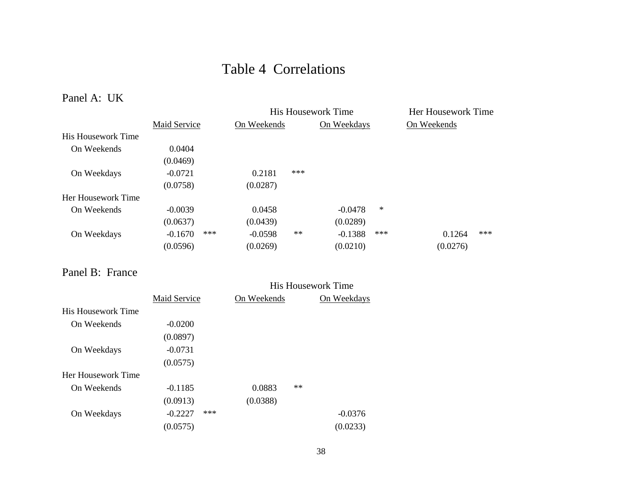## Table 4 Correlations

Panel A: UK

|                    |              |     | <b>His Housework Time</b> | Her Housework Time |             |        |             |     |
|--------------------|--------------|-----|---------------------------|--------------------|-------------|--------|-------------|-----|
|                    | Maid Service |     | On Weekends               |                    | On Weekdays |        | On Weekends |     |
| His Housework Time |              |     |                           |                    |             |        |             |     |
| On Weekends        | 0.0404       |     |                           |                    |             |        |             |     |
|                    | (0.0469)     |     |                           |                    |             |        |             |     |
| On Weekdays        | $-0.0721$    |     | 0.2181                    | ***                |             |        |             |     |
|                    | (0.0758)     |     | (0.0287)                  |                    |             |        |             |     |
| Her Housework Time |              |     |                           |                    |             |        |             |     |
| On Weekends        | $-0.0039$    |     | 0.0458                    |                    | $-0.0478$   | $\ast$ |             |     |
|                    | (0.0637)     |     | (0.0439)                  |                    | (0.0289)    |        |             |     |
| On Weekdays        | $-0.1670$    | *** | $-0.0598$                 | $**$               | $-0.1388$   | $***$  | 0.1264      | *** |
|                    | (0.0596)     |     | (0.0269)                  |                    | (0.0210)    |        | (0.0276)    |     |

Panel B: France

|                           |              |     |             |             | <b>His Housework Time</b> |  |
|---------------------------|--------------|-----|-------------|-------------|---------------------------|--|
|                           | Maid Service |     | On Weekends | On Weekdays |                           |  |
| <b>His Housework Time</b> |              |     |             |             |                           |  |
| On Weekends               | $-0.0200$    |     |             |             |                           |  |
|                           | (0.0897)     |     |             |             |                           |  |
| On Weekdays               | $-0.0731$    |     |             |             |                           |  |
|                           | (0.0575)     |     |             |             |                           |  |
| Her Housework Time        |              |     |             |             |                           |  |
| On Weekends               | $-0.1185$    |     | 0.0883      | $**$        |                           |  |
|                           | (0.0913)     |     | (0.0388)    |             |                           |  |
| On Weekdays               | $-0.2227$    | *** |             |             | $-0.0376$                 |  |
|                           | (0.0575)     |     |             |             | (0.0233)                  |  |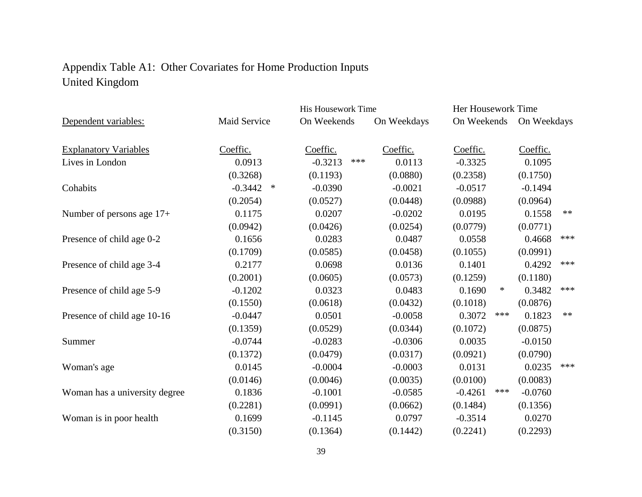## Appendix Table A1: Other Covariates for Home Production Inputs United Kingdom

|                               |                     | His Housework Time |             | Her Housework Time |             |      |  |  |
|-------------------------------|---------------------|--------------------|-------------|--------------------|-------------|------|--|--|
| Dependent variables:          | Maid Service        | On Weekends        | On Weekdays | On Weekends        | On Weekdays |      |  |  |
|                               |                     |                    |             |                    |             |      |  |  |
| <b>Explanatory Variables</b>  | Coeffic.            | Coeffic.           | Coeffic.    | Coeffic.           | Coeffic.    |      |  |  |
| Lives in London               | 0.0913              | $***$<br>$-0.3213$ | 0.0113      | $-0.3325$          | 0.1095      |      |  |  |
|                               | (0.3268)            | (0.1193)           | (0.0880)    | (0.2358)           | (0.1750)    |      |  |  |
| Cohabits                      | $-0.3442$<br>$\ast$ | $-0.0390$          | $-0.0021$   | $-0.0517$          | $-0.1494$   |      |  |  |
|                               | (0.2054)            | (0.0527)           | (0.0448)    | (0.0988)           | (0.0964)    |      |  |  |
| Number of persons age 17+     | 0.1175              | 0.0207             | $-0.0202$   | 0.0195             | 0.1558      | $**$ |  |  |
|                               | (0.0942)            | (0.0426)           | (0.0254)    | (0.0779)           | (0.0771)    |      |  |  |
| Presence of child age 0-2     | 0.1656              | 0.0283             | 0.0487      | 0.0558             | 0.4668      | ***  |  |  |
|                               | (0.1709)            | (0.0585)           | (0.0458)    | (0.1055)           | (0.0991)    |      |  |  |
| Presence of child age 3-4     | 0.2177              | 0.0698             | 0.0136      | 0.1401             | 0.4292      | ***  |  |  |
|                               | (0.2001)            | (0.0605)           | (0.0573)    | (0.1259)           | (0.1180)    |      |  |  |
| Presence of child age 5-9     | $-0.1202$           | 0.0323             | 0.0483      | 0.1690<br>∗        | 0.3482      | ***  |  |  |
|                               | (0.1550)            | (0.0618)           | (0.0432)    | (0.1018)           | (0.0876)    |      |  |  |
| Presence of child age 10-16   | $-0.0447$           | 0.0501             | $-0.0058$   | ***<br>0.3072      | 0.1823      | $**$ |  |  |
|                               | (0.1359)            | (0.0529)           | (0.0344)    | (0.1072)           | (0.0875)    |      |  |  |
| Summer                        | $-0.0744$           | $-0.0283$          | $-0.0306$   | 0.0035             | $-0.0150$   |      |  |  |
|                               | (0.1372)            | (0.0479)           | (0.0317)    | (0.0921)           | (0.0790)    |      |  |  |
| Woman's age                   | 0.0145              | $-0.0004$          | $-0.0003$   | 0.0131             | 0.0235      | ***  |  |  |
|                               | (0.0146)            | (0.0046)           | (0.0035)    | (0.0100)           | (0.0083)    |      |  |  |
| Woman has a university degree | 0.1836              | $-0.1001$          | $-0.0585$   | $-0.4261$<br>***   | $-0.0760$   |      |  |  |
|                               | (0.2281)            | (0.0991)           | (0.0662)    | (0.1484)           | (0.1356)    |      |  |  |
| Woman is in poor health       | 0.1699              | $-0.1145$          | 0.0797      | $-0.3514$          | 0.0270      |      |  |  |
|                               | (0.3150)            | (0.1364)           | (0.1442)    | (0.2241)           | (0.2293)    |      |  |  |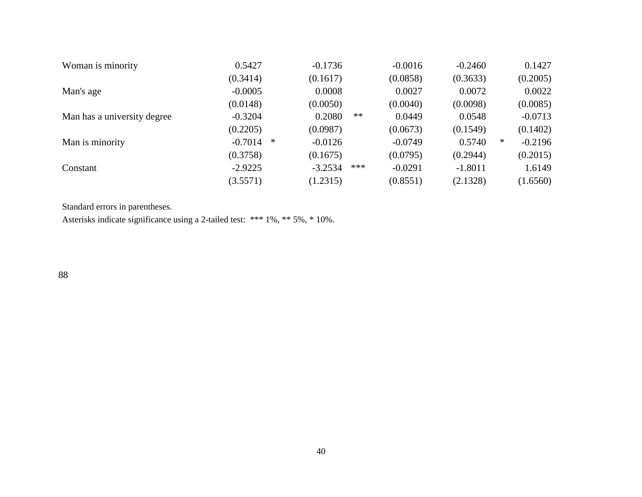| Woman is minority           | 0.5427    |   | $-0.1736$ |      | $-0.0016$ | $-0.2460$ |   | 0.1427    |
|-----------------------------|-----------|---|-----------|------|-----------|-----------|---|-----------|
|                             | (0.3414)  |   | (0.1617)  |      | (0.0858)  | (0.3633)  |   | (0.2005)  |
| Man's age                   | $-0.0005$ |   | 0.0008    |      | 0.0027    | 0.0072    |   | 0.0022    |
|                             | (0.0148)  |   | (0.0050)  |      | (0.0040)  | (0.0098)  |   | (0.0085)  |
| Man has a university degree | $-0.3204$ |   | 0.2080    | $**$ | 0.0449    | 0.0548    |   | $-0.0713$ |
|                             | (0.2205)  |   | (0.0987)  |      | (0.0673)  | (0.1549)  |   | (0.1402)  |
| Man is minority             | $-0.7014$ | ∗ | $-0.0126$ |      | $-0.0749$ | 0.5740    | ∗ | $-0.2196$ |
|                             | (0.3758)  |   | (0.1675)  |      | (0.0795)  | (0.2944)  |   | (0.2015)  |
| Constant                    | $-2.9225$ |   | $-3.2534$ | ***  | $-0.0291$ | $-1.8011$ |   | 1.6149    |
|                             | (3.5571)  |   | (1.2315)  |      | (0.8551)  | (2.1328)  |   | (1.6560)  |

Standard errors in parentheses.

Asterisks indicate significance using a 2-tailed test: \*\*\* 1%, \*\* 5%, \* 10%.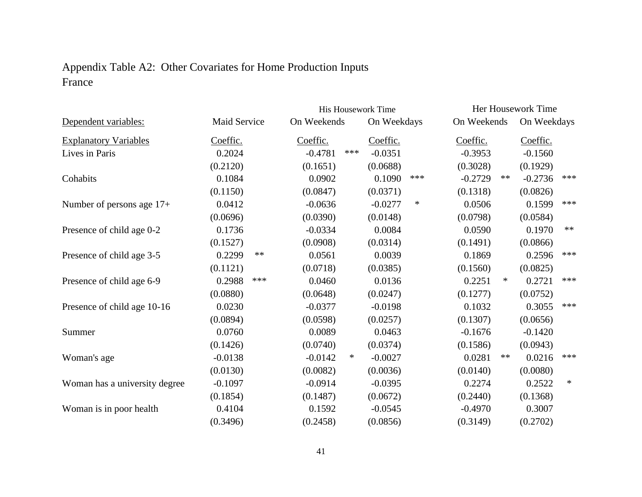## Appendix Table A2: Other Covariates for Home Production Inputs France

|                               |                     |  |             | His Housework Time | Her Housework Time |     |             |        |             |            |  |
|-------------------------------|---------------------|--|-------------|--------------------|--------------------|-----|-------------|--------|-------------|------------|--|
| Dependent variables:          | <b>Maid Service</b> |  | On Weekends |                    | On Weekdays        |     | On Weekends |        | On Weekdays |            |  |
| <b>Explanatory Variables</b>  | Coeffic.            |  | Coeffic.    |                    | Coeffic.           |     | Coeffic.    |        |             | Coeffic.   |  |
| Lives in Paris                | 0.2024              |  | $-0.4781$   | ***                | $-0.0351$          |     | $-0.3953$   |        | $-0.1560$   |            |  |
|                               | (0.2120)            |  | (0.1651)    |                    | (0.0688)           |     | (0.3028)    |        | (0.1929)    |            |  |
| Cohabits                      | 0.1084              |  | 0.0902      |                    | 0.1090             | *** | $-0.2729$   | $**$   | $-0.2736$   | ***        |  |
|                               | (0.1150)            |  | (0.0847)    |                    | (0.0371)           |     | (0.1318)    |        | (0.0826)    |            |  |
| Number of persons age 17+     | 0.0412              |  | $-0.0636$   |                    | $-0.0277$          | ∗   | 0.0506      |        | 0.1599      | ***        |  |
|                               | (0.0696)            |  | (0.0390)    |                    | (0.0148)           |     | (0.0798)    |        | (0.0584)    |            |  |
| Presence of child age 0-2     | 0.1736              |  | $-0.0334$   |                    | 0.0084             |     | 0.0590      |        | 0.1970      | $\ast\ast$ |  |
|                               | (0.1527)            |  | (0.0908)    |                    | (0.0314)           |     | (0.1491)    |        | (0.0866)    |            |  |
| Presence of child age 3-5     | 0.2299<br>$**$      |  | 0.0561      |                    | 0.0039             |     | 0.1869      |        | 0.2596      | ***        |  |
|                               | (0.1121)            |  | (0.0718)    |                    | (0.0385)           |     | (0.1560)    |        | (0.0825)    |            |  |
| Presence of child age 6-9     | ***<br>0.2988       |  | 0.0460      |                    | 0.0136             |     | 0.2251      | $\ast$ | 0.2721      | ***        |  |
|                               | (0.0880)            |  | (0.0648)    |                    | (0.0247)           |     | (0.1277)    |        | (0.0752)    |            |  |
| Presence of child age 10-16   | 0.0230              |  | $-0.0377$   |                    | $-0.0198$          |     | 0.1032      |        | 0.3055      | ***        |  |
|                               | (0.0894)            |  | (0.0598)    |                    | (0.0257)           |     | (0.1307)    |        | (0.0656)    |            |  |
| Summer                        | 0.0760              |  | 0.0089      |                    | 0.0463             |     | $-0.1676$   |        | $-0.1420$   |            |  |
|                               | (0.1426)            |  | (0.0740)    |                    | (0.0374)           |     | (0.1586)    |        | (0.0943)    |            |  |
| Woman's age                   | $-0.0138$           |  | $-0.0142$   | $\ast$             | $-0.0027$          |     | 0.0281      | $***$  | 0.0216      | ***        |  |
|                               | (0.0130)            |  | (0.0082)    |                    | (0.0036)           |     | (0.0140)    |        | (0.0080)    |            |  |
| Woman has a university degree | $-0.1097$           |  | $-0.0914$   |                    | $-0.0395$          |     | 0.2274      |        | 0.2522      | $\ast$     |  |
|                               | (0.1854)            |  | (0.1487)    |                    | (0.0672)           |     | (0.2440)    |        | (0.1368)    |            |  |
| Woman is in poor health       | 0.4104              |  | 0.1592      |                    | $-0.0545$          |     | $-0.4970$   |        | 0.3007      |            |  |
|                               | (0.3496)            |  | (0.2458)    |                    | (0.0856)           |     | (0.3149)    |        | (0.2702)    |            |  |